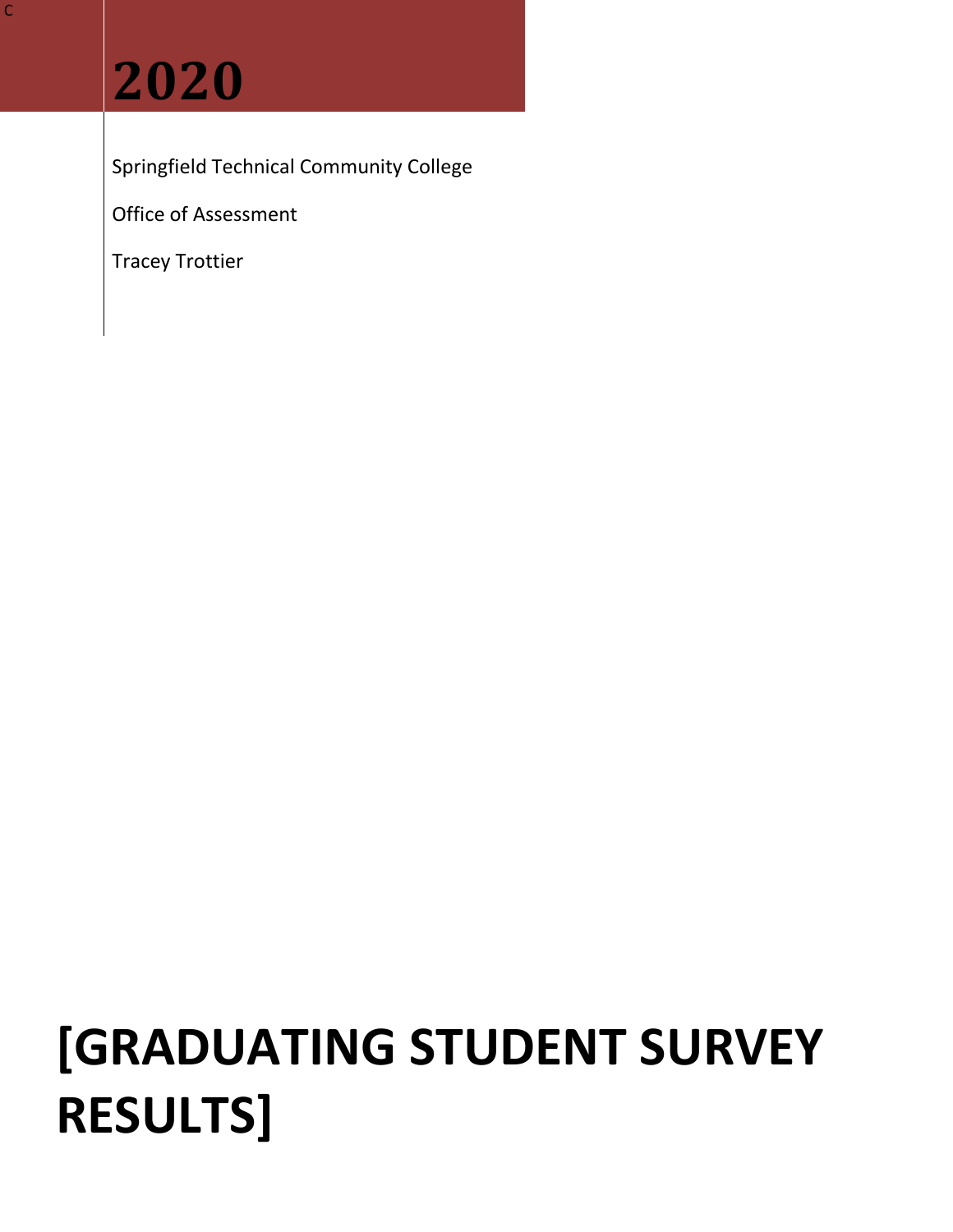## **2020**

Springfield Technical Community College

Office of Assessment

Tracey Trottier

# **[GRADUATING STUDENT SURVEY RESULTS]**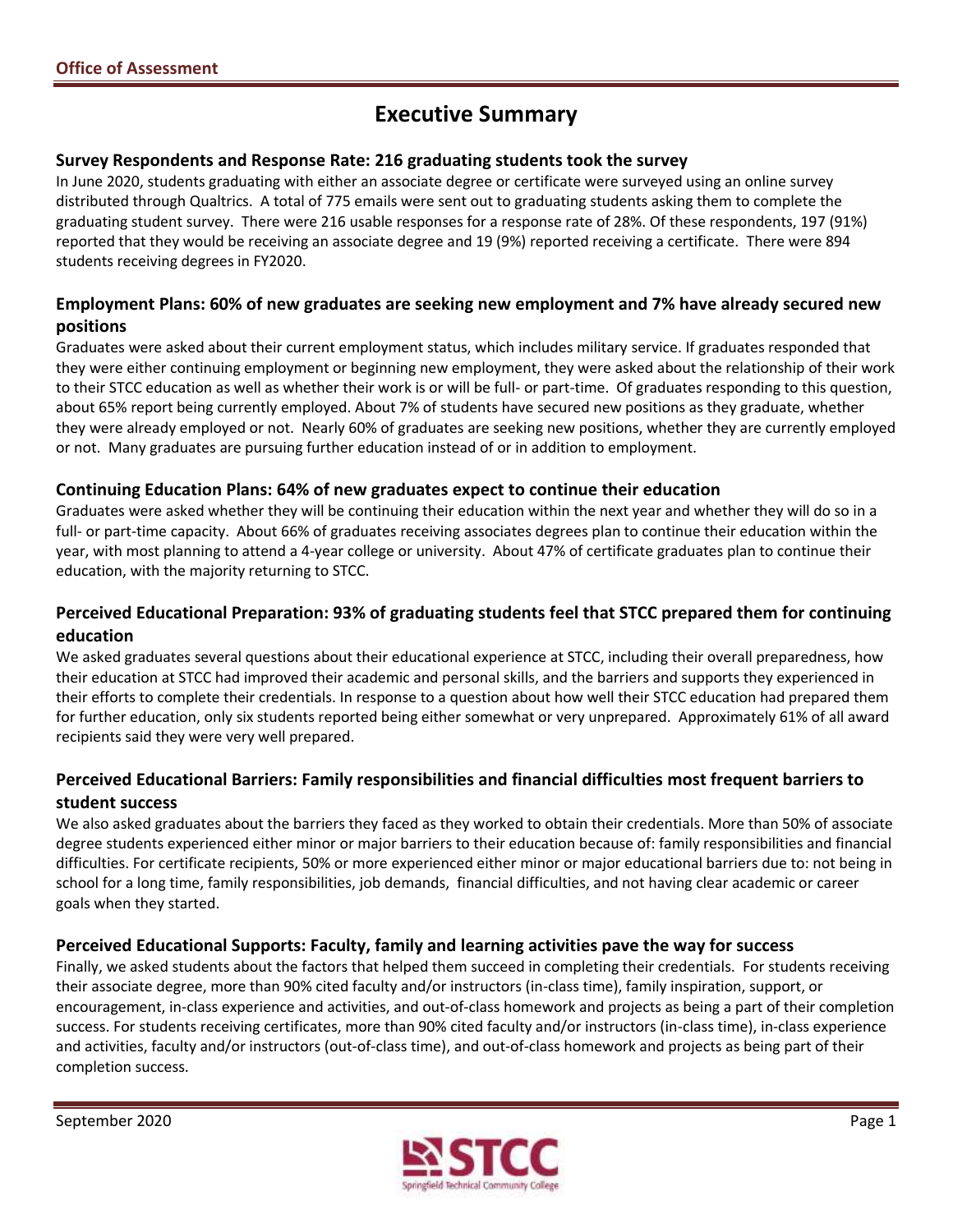## **Executive Summary**

#### **Survey Respondents and Response Rate: 216 graduating students took the survey**

In June 2020, students graduating with either an associate degree or certificate were surveyed using an online survey distributed through Qualtrics. A total of 775 emails were sent out to graduating students asking them to complete the graduating student survey. There were 216 usable responses for a response rate of 28%. Of these respondents, 197 (91%) reported that they would be receiving an associate degree and 19 (9%) reported receiving a certificate. There were 894 students receiving degrees in FY2020.

#### **Employment Plans: 60% of new graduates are seeking new employment and 7% have already secured new positions**

 they were either continuing employment or beginning new employment, they were asked about the relationship of their work to their STCC education as well as whether their work is or will be full- or part-time. Of graduates responding to this question, Graduates were asked about their current employment status, which includes military service. If graduates responded that about 65% report being currently employed. About 7% of students have secured new positions as they graduate, whether they were already employed or not. Nearly 60% of graduates are seeking new positions, whether they are currently employed or not. Many graduates are pursuing further education instead of or in addition to employment.

#### **Continuing Education Plans: 64% of new graduates expect to continue their education**

Graduates were asked whether they will be continuing their education within the next year and whether they will do so in a full- or part-time capacity. About 66% of graduates receiving associates degrees plan to continue their education within the year, with most planning to attend a 4-year college or university. About 47% of certificate graduates plan to continue their education, with the majority returning to STCC.

#### **Perceived Educational Preparation: 93% of graduating students feel that STCC prepared them for continuing education**

We asked graduates several questions about their educational experience at STCC, including their overall preparedness, how their education at STCC had improved their academic and personal skills, and the barriers and supports they experienced in their efforts to complete their credentials. In response to a question about how well their STCC education had prepared them for further education, only six students reported being either somewhat or very unprepared. Approximately 61% of all award recipients said they were very well prepared.

## **Perceived Educational Barriers: Family responsibilities and financial difficulties most frequent barriers to student success**

 difficulties. For certificate recipients, 50% or more experienced either minor or major educational barriers due to: not being in We also asked graduates about the barriers they faced as they worked to obtain their credentials. More than 50% of associate degree students experienced either minor or major barriers to their education because of: family responsibilities and financial school for a long time, family responsibilities, job demands, financial difficulties, and not having clear academic or career goals when they started.

#### **Perceived Educational Supports: Faculty, family and learning activities pave the way for success**

 their associate degree, more than 90% cited faculty and/or instructors (in-class time), family inspiration, support, or Finally, we asked students about the factors that helped them succeed in completing their credentials. For students receiving encouragement, in-class experience and activities, and out-of-class homework and projects as being a part of their completion success. For students receiving certificates, more than 90% cited faculty and/or instructors (in-class time), in-class experience and activities, faculty and/or instructors (out-of-class time), and out-of-class homework and projects as being part of their completion success.

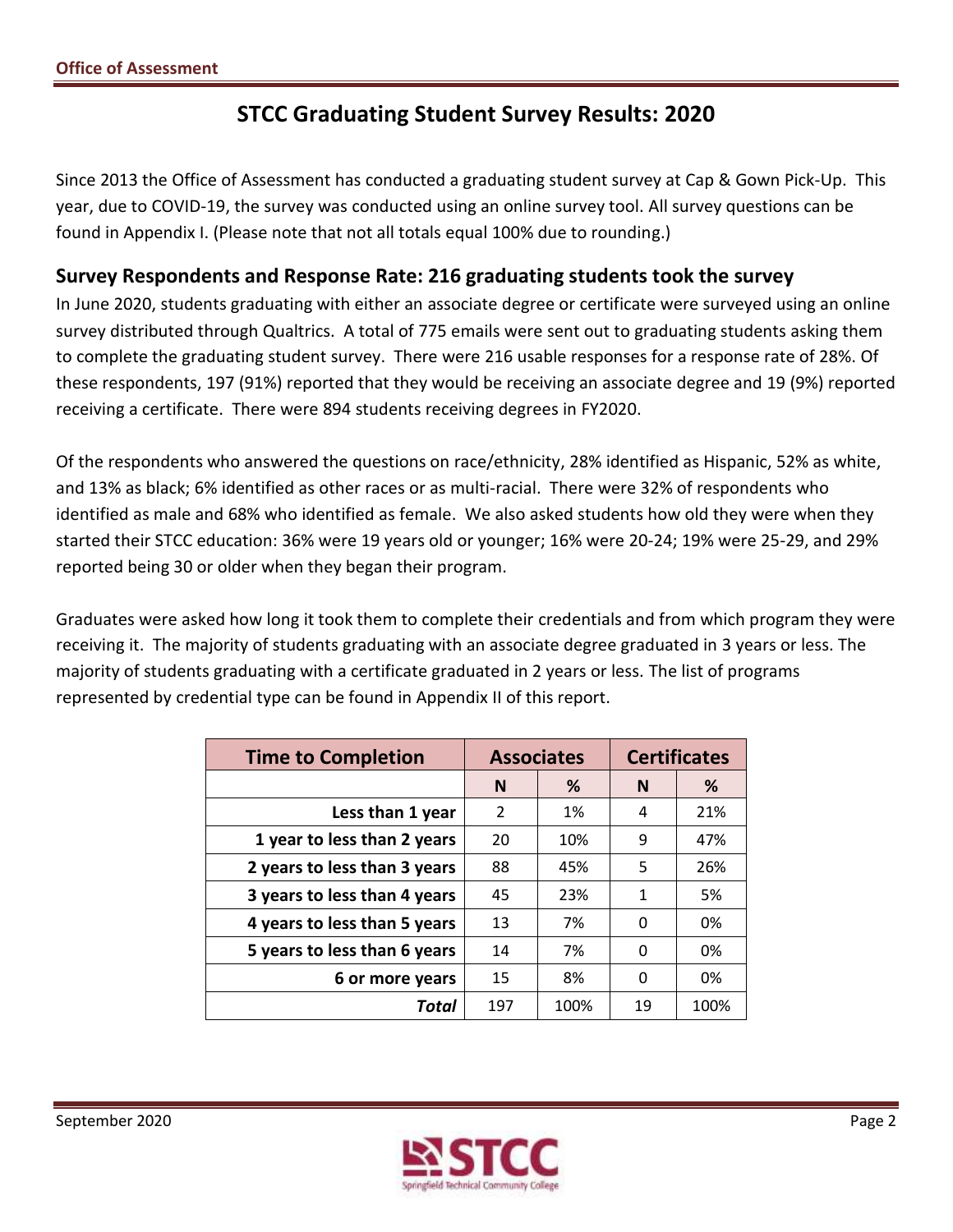## **STCC Graduating Student Survey Results: 2020**

 Since 2013 the Office of Assessment has conducted a graduating student survey at Cap & Gown Pick-Up. This year, due to COVID-19, the survey was conducted using an online survey tool. All survey questions can be found in Appendix I. (Please note that not all totals equal 100% due to rounding.)

## **Survey Respondents and Response Rate: 216 graduating students took the survey**

 In June 2020, students graduating with either an associate degree or certificate were surveyed using an online survey distributed through Qualtrics. A total of 775 emails were sent out to graduating students asking them to complete the graduating student survey. There were 216 usable responses for a response rate of 28%. Of these respondents, 197 (91%) reported that they would be receiving an associate degree and 19 (9%) reported receiving a certificate. There were 894 students receiving degrees in FY2020.

 Of the respondents who answered the questions on race/ethnicity, 28% identified as Hispanic, 52% as white, and 13% as black; 6% identified as other races or as multi-racial. There were 32% of respondents who identified as male and 68% who identified as female. We also asked students how old they were when they started their STCC education: 36% were 19 years old or younger; 16% were 20-24; 19% were 25-29, and 29% reported being 30 or older when they began their program.

 Graduates were asked how long it took them to complete their credentials and from which program they were receiving it. The majority of students graduating with an associate degree graduated in 3 years or less. The majority of students graduating with a certificate graduated in 2 years or less. The list of programs represented by credential type can be found in Appendix II of this report.

| <b>Time to Completion</b>    | <b>Associates</b> |      | <b>Certificates</b> |      |  |
|------------------------------|-------------------|------|---------------------|------|--|
|                              | %<br>N            |      | N                   | %    |  |
| Less than 1 year             | 2                 | 1%   | 4                   | 21%  |  |
| 1 year to less than 2 years  | 20                | 10%  | 9                   | 47%  |  |
| 2 years to less than 3 years | 88                | 45%  | 5                   | 26%  |  |
| 3 years to less than 4 years | 45                | 23%  | 1                   | 5%   |  |
| 4 years to less than 5 years | 13                | 7%   | 0                   | 0%   |  |
| 5 years to less than 6 years | 14                | 7%   | 0                   | 0%   |  |
| 6 or more years              | 15                | 8%   | 0                   | 0%   |  |
| Total                        | 197               | 100% | 19                  | 100% |  |

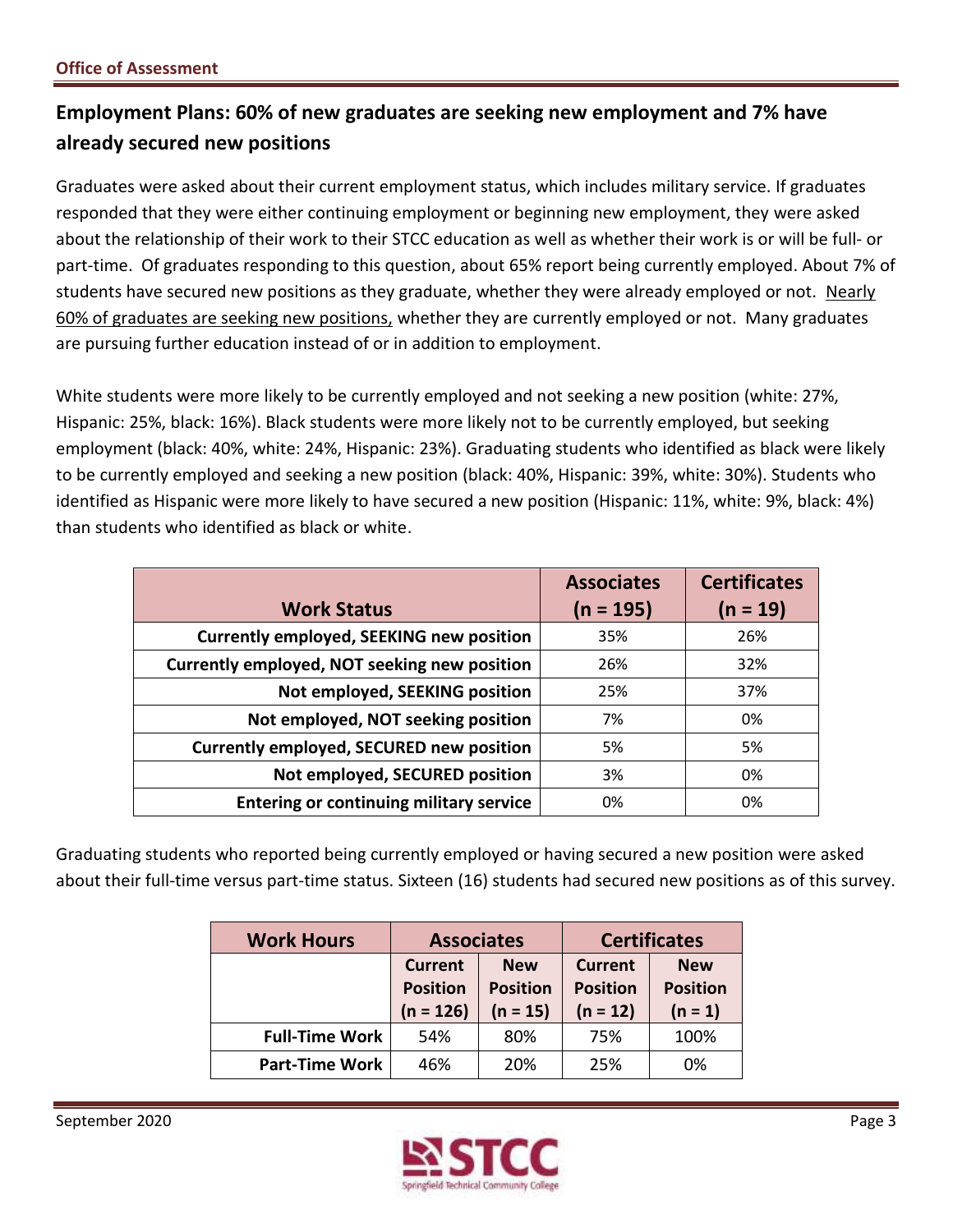## **Employment Plans: 60% of new graduates are seeking new employment and 7% have already secured new positions**

 Graduates were asked about their current employment status, which includes military service. If graduates responded that they were either continuing employment or beginning new employment, they were asked about the relationship of their work to their STCC education as well as whether their work is or will be full- or part-time. Of graduates responding to this question, about 65% report being currently employed. About 7% of students have secured new positions as they graduate, whether they were already employed or not. Nearly 60% of graduates are seeking new positions, whether they are currently employed or not. Many graduates are pursuing further education instead of or in addition to employment.

 White students were more likely to be currently employed and not seeking a new position (white: 27%, employment (black: 40%, white: 24%, Hispanic: 23%). Graduating students who identified as black were likely to be currently employed and seeking a new position (black: 40%, Hispanic: 39%, white: 30%). Students who identified as Hispanic were more likely to have secured a new position (Hispanic: 11%, white: 9%, black: 4%) than students who identified as black or white. Hispanic: 25%, black: 16%). Black students were more likely not to be currently employed, but seeking

|                                                 | <b>Associates</b> | <b>Certificates</b> |
|-------------------------------------------------|-------------------|---------------------|
| <b>Work Status</b>                              | $(n = 195)$       | $(n = 19)$          |
| <b>Currently employed, SEEKING new position</b> | 35%               | 26%                 |
| Currently employed, NOT seeking new position    | 26%               | 32%                 |
| Not employed, SEEKING position                  | 25%               | 37%                 |
| Not employed, NOT seeking position              | 7%                | 0%                  |
| Currently employed, SECURED new position        | 5%                | 5%                  |
| Not employed, SECURED position                  | 3%                | 0%                  |
| <b>Entering or continuing military service</b>  | 0%                | 0%                  |

 Graduating students who reported being currently employed or having secured a new position were asked about their full-time versus part-time status. Sixteen (16) students had secured new positions as of this survey.

| <b>Work Hours</b>     | <b>Associates</b>                                |                                             |                                                 | <b>Certificates</b>                        |
|-----------------------|--------------------------------------------------|---------------------------------------------|-------------------------------------------------|--------------------------------------------|
|                       | <b>Current</b><br><b>Position</b><br>$(n = 126)$ | <b>New</b><br><b>Position</b><br>$(n = 15)$ | <b>Current</b><br><b>Position</b><br>$(n = 12)$ | <b>New</b><br><b>Position</b><br>$(n = 1)$ |
| <b>Full-Time Work</b> | 54%                                              | 80%                                         | 75%                                             | 100%                                       |
| <b>Part-Time Work</b> | 46%                                              | 20%                                         | 25%                                             | 0%                                         |

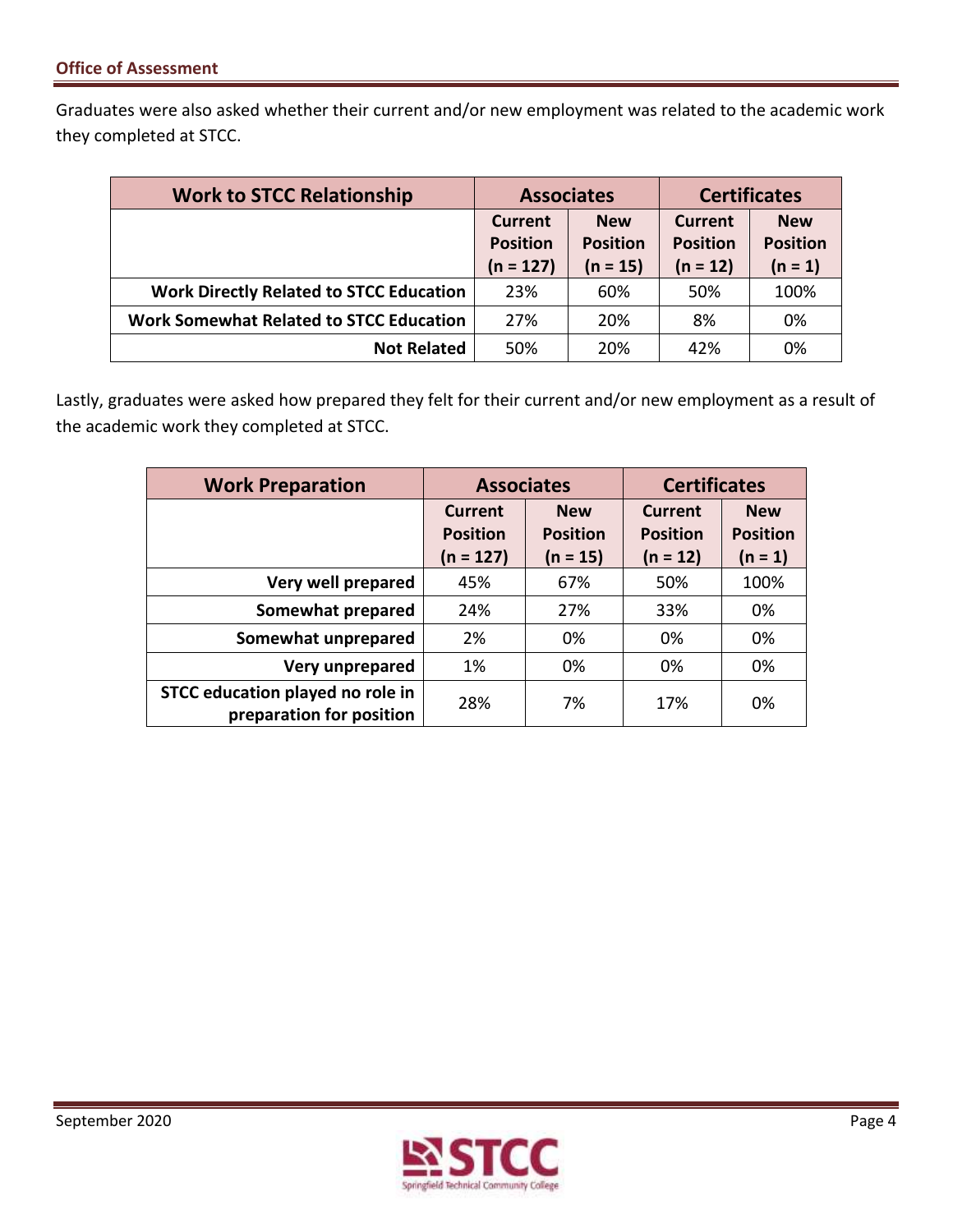Graduates were also asked whether their current and/or new employment was related to the academic work they completed at STCC.

| <b>Work to STCC Relationship</b>               | <b>Associates</b>                                           |            | <b>Certificates</b>               |                               |  |
|------------------------------------------------|-------------------------------------------------------------|------------|-----------------------------------|-------------------------------|--|
|                                                | <b>New</b><br>Current<br><b>Position</b><br><b>Position</b> |            | <b>Current</b><br><b>Position</b> | <b>New</b><br><b>Position</b> |  |
|                                                | $(n = 127)$                                                 | $(n = 15)$ | $(n = 12)$                        | $(n = 1)$                     |  |
| <b>Work Directly Related to STCC Education</b> | 23%                                                         | 60%        | 50%                               | 100%                          |  |
| <b>Work Somewhat Related to STCC Education</b> | 27%                                                         | 20%        | 8%                                | 0%                            |  |
| <b>Not Related</b>                             | 50%                                                         | 20%        | 42%                               | 0%                            |  |

 Lastly, graduates were asked how prepared they felt for their current and/or new employment as a result of the academic work they completed at STCC.

| <b>Work Preparation</b>                                      | <b>Associates</b>                                |                                             | <b>Certificates</b>                             |                                            |  |
|--------------------------------------------------------------|--------------------------------------------------|---------------------------------------------|-------------------------------------------------|--------------------------------------------|--|
|                                                              | <b>Current</b><br><b>Position</b><br>$(n = 127)$ | <b>New</b><br><b>Position</b><br>$(n = 15)$ | <b>Current</b><br><b>Position</b><br>$(n = 12)$ | <b>New</b><br><b>Position</b><br>$(n = 1)$ |  |
| Very well prepared                                           | 45%                                              | 67%                                         | 50%                                             | 100%                                       |  |
| Somewhat prepared                                            | 24%                                              | 27%                                         | 33%                                             | 0%                                         |  |
| Somewhat unprepared                                          | 2%                                               | 0%                                          | 0%                                              | 0%                                         |  |
| Very unprepared                                              | 1%                                               | 0%                                          | 0%                                              | 0%                                         |  |
| STCC education played no role in<br>preparation for position | 28%                                              | 7%                                          | 17%                                             | 0%                                         |  |

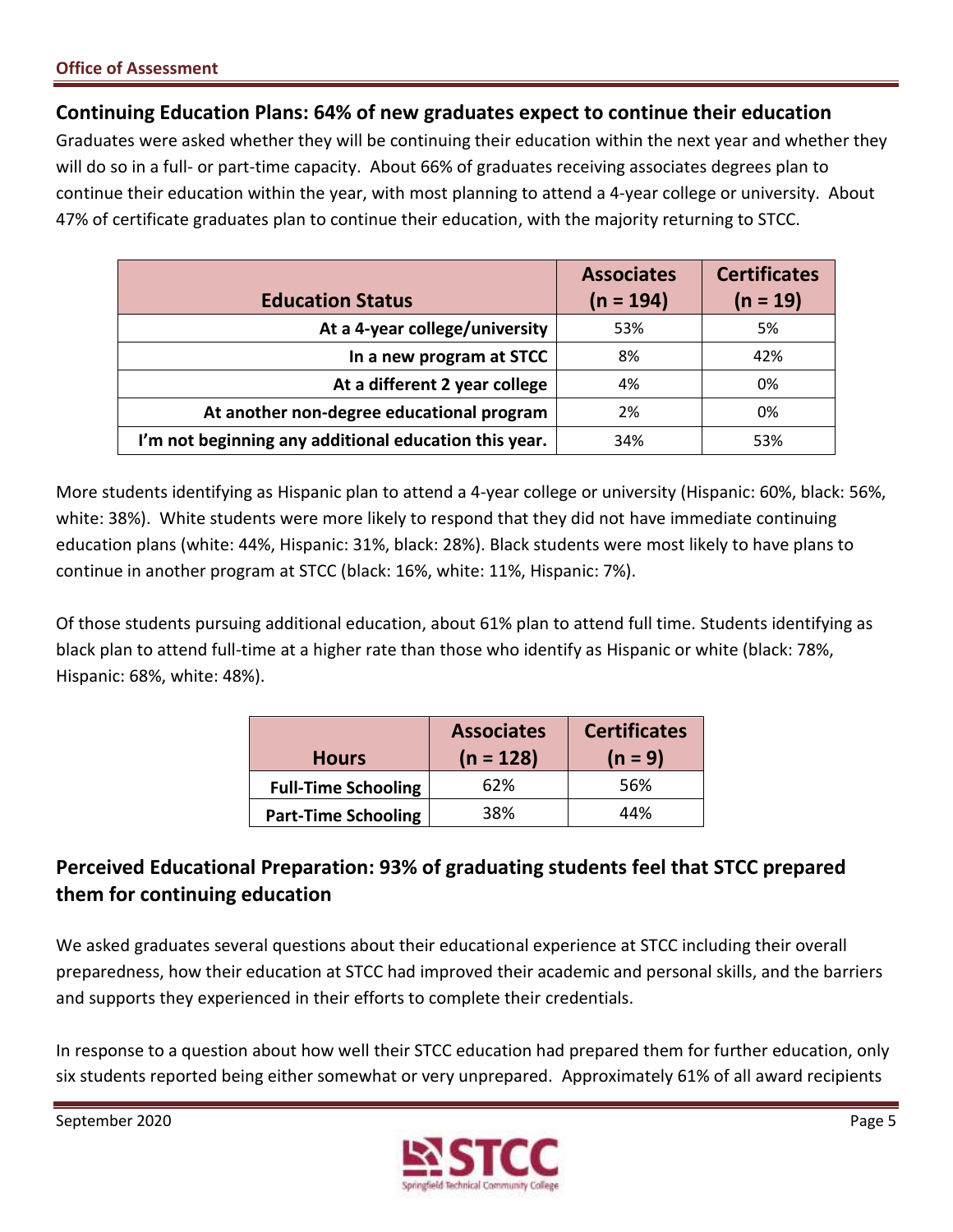## **Continuing Education Plans: 64% of new graduates expect to continue their education**

 Graduates were asked whether they will be continuing their education within the next year and whether they will do so in a full- or part-time capacity. About 66% of graduates receiving associates degrees plan to continue their education within the year, with most planning to attend a 4-year college or university. About 47% of certificate graduates plan to continue their education, with the majority returning to STCC.

|                                                       | <b>Associates</b> | <b>Certificates</b> |
|-------------------------------------------------------|-------------------|---------------------|
| <b>Education Status</b>                               | $(n = 194)$       | $(n = 19)$          |
| At a 4-year college/university                        | 53%               | 5%                  |
| In a new program at STCC                              | 8%                | 42%                 |
| At a different 2 year college                         | 4%                | 0%                  |
| At another non-degree educational program             | 2%                | 0%                  |
| I'm not beginning any additional education this year. | 34%               | 53%                 |

 More students identifying as Hispanic plan to attend a 4-year college or university (Hispanic: 60%, black: 56%, white: 38%). White students were more likely to respond that they did not have immediate continuing education plans (white: 44%, Hispanic: 31%, black: 28%). Black students were most likely to have plans to continue in another program at STCC (black: 16%, white: 11%, Hispanic: 7%).

 Of those students pursuing additional education, about 61% plan to attend full time. Students identifying as black plan to attend full-time at a higher rate than those who identify as Hispanic or white (black: 78%, Hispanic: 68%, white: 48%).

| <b>Hours</b>               | <b>Associates</b><br>$(n = 128)$ | <b>Certificates</b><br>$(n = 9)$ |
|----------------------------|----------------------------------|----------------------------------|
| <b>Full-Time Schooling</b> | 62%                              | 56%                              |
| <b>Part-Time Schooling</b> | 38%                              | 44%                              |

## **Perceived Educational Preparation: 93% of graduating students feel that STCC prepared them for continuing education**

 We asked graduates several questions about their educational experience at STCC including their overall preparedness, how their education at STCC had improved their academic and personal skills, and the barriers and supports they experienced in their efforts to complete their credentials.

 In response to a question about how well their STCC education had prepared them for further education, only six students reported being either somewhat or very unprepared. Approximately 61% of all award recipients

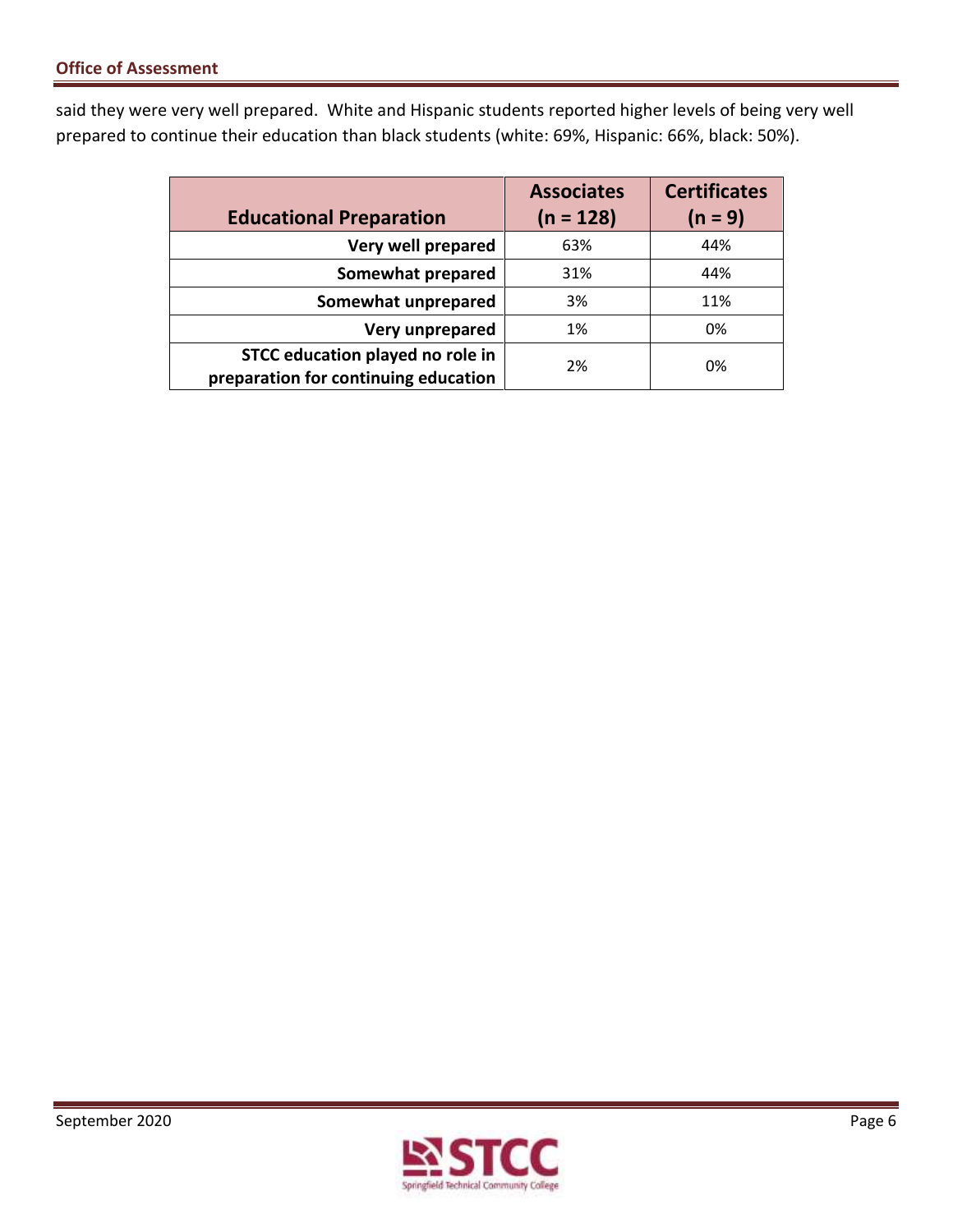said they were very well prepared. White and Hispanic students reported higher levels of being very well prepared to continue their education than black students (white: 69%, Hispanic: 66%, black: 50%).

|                                      | <b>Associates</b> | <b>Certificates</b> |
|--------------------------------------|-------------------|---------------------|
| <b>Educational Preparation</b>       | $(n = 128)$       | $(n = 9)$           |
| Very well prepared                   | 63%               | 44%                 |
| Somewhat prepared                    | 31%               | 44%                 |
| Somewhat unprepared                  | 3%                | 11%                 |
| Very unprepared                      | 1%                | 0%                  |
| STCC education played no role in     | 2%                | 0%                  |
| preparation for continuing education |                   |                     |

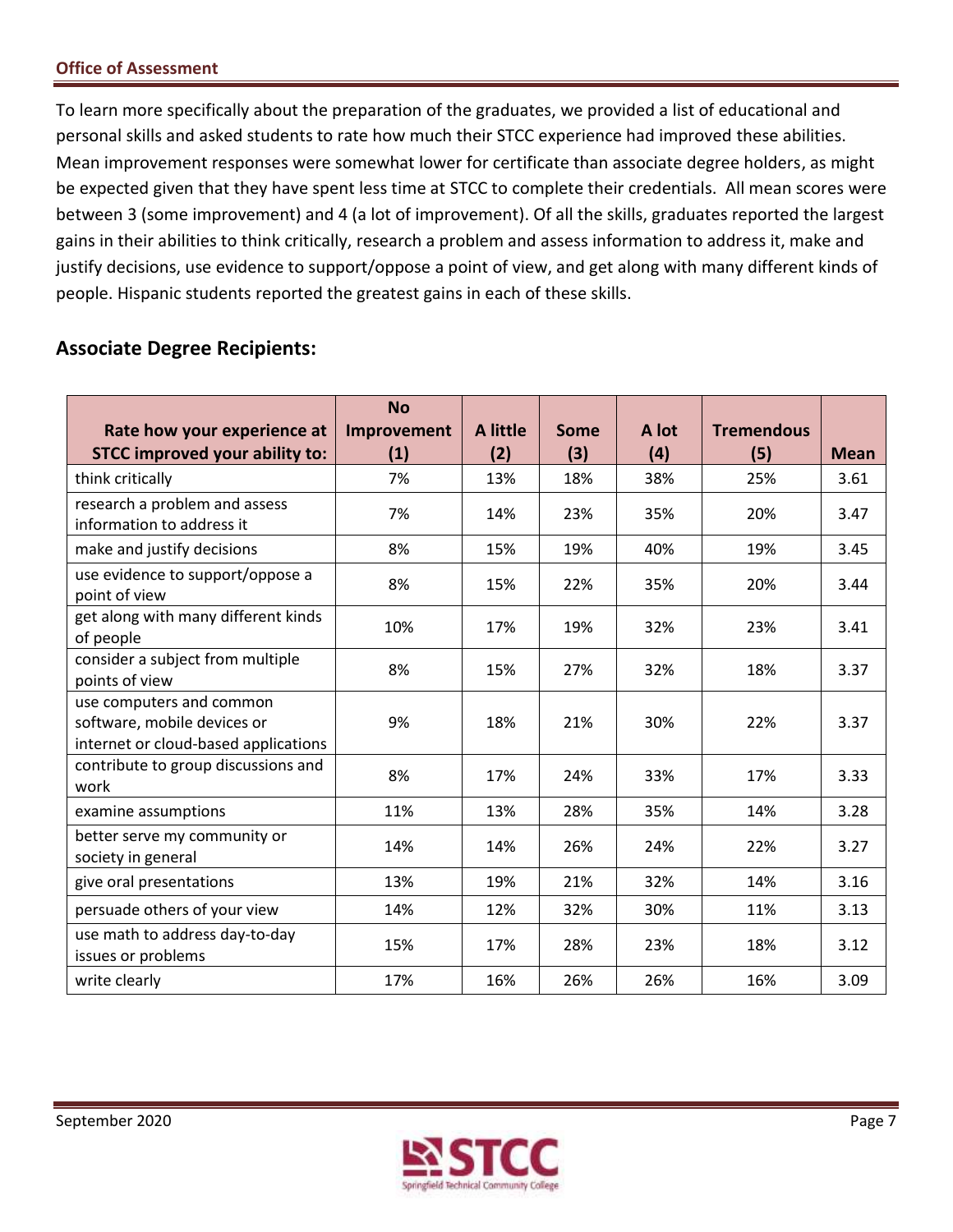To learn more specifically about the preparation of the graduates, we provided a list of educational and personal skills and asked students to rate how much their STCC experience had improved these abilities. Mean improvement responses were somewhat lower for certificate than associate degree holders, as might be expected given that they have spent less time at STCC to complete their credentials. All mean scores were between 3 (some improvement) and 4 (a lot of improvement). Of all the skills, graduates reported the largest gains in their abilities to think critically, research a problem and assess information to address it, make and justify decisions, use evidence to support/oppose a point of view, and get along with many different kinds of people. Hispanic students reported the greatest gains in each of these skills.

## **Associate Degree Recipients:**

| Rate how your experience at                                                                     | <b>No</b><br>Improvement | A little | <b>Some</b> | A lot | <b>Tremendous</b> |             |
|-------------------------------------------------------------------------------------------------|--------------------------|----------|-------------|-------|-------------------|-------------|
| <b>STCC improved your ability to:</b>                                                           | (1)                      | (2)      | (3)         | (4)   | (5)               | <b>Mean</b> |
| think critically                                                                                | 7%                       | 13%      | 18%         | 38%   | 25%               | 3.61        |
| research a problem and assess<br>information to address it                                      | 7%                       | 14%      | 23%         | 35%   | 20%               | 3.47        |
| make and justify decisions                                                                      | 8%                       | 15%      | 19%         | 40%   | 19%               | 3.45        |
| use evidence to support/oppose a<br>point of view                                               | 8%                       | 15%      | 22%         | 35%   | 20%               | 3.44        |
| get along with many different kinds<br>of people                                                | 10%                      | 17%      | 19%         | 32%   | 23%               | 3.41        |
| consider a subject from multiple<br>points of view                                              | 8%                       | 15%      | 27%         | 32%   | 18%               | 3.37        |
| use computers and common<br>software, mobile devices or<br>internet or cloud-based applications | 9%                       | 18%      | 21%         | 30%   | 22%               | 3.37        |
| contribute to group discussions and<br>work                                                     | 8%                       | 17%      | 24%         | 33%   | 17%               | 3.33        |
| examine assumptions                                                                             | 11%                      | 13%      | 28%         | 35%   | 14%               | 3.28        |
| better serve my community or<br>society in general                                              | 14%                      | 14%      | 26%         | 24%   | 22%               | 3.27        |
| give oral presentations                                                                         | 13%                      | 19%      | 21%         | 32%   | 14%               | 3.16        |
| persuade others of your view                                                                    | 14%                      | 12%      | 32%         | 30%   | 11%               | 3.13        |
| use math to address day-to-day<br>issues or problems                                            | 15%                      | 17%      | 28%         | 23%   | 18%               | 3.12        |
| write clearly                                                                                   | 17%                      | 16%      | 26%         | 26%   | 16%               | 3.09        |

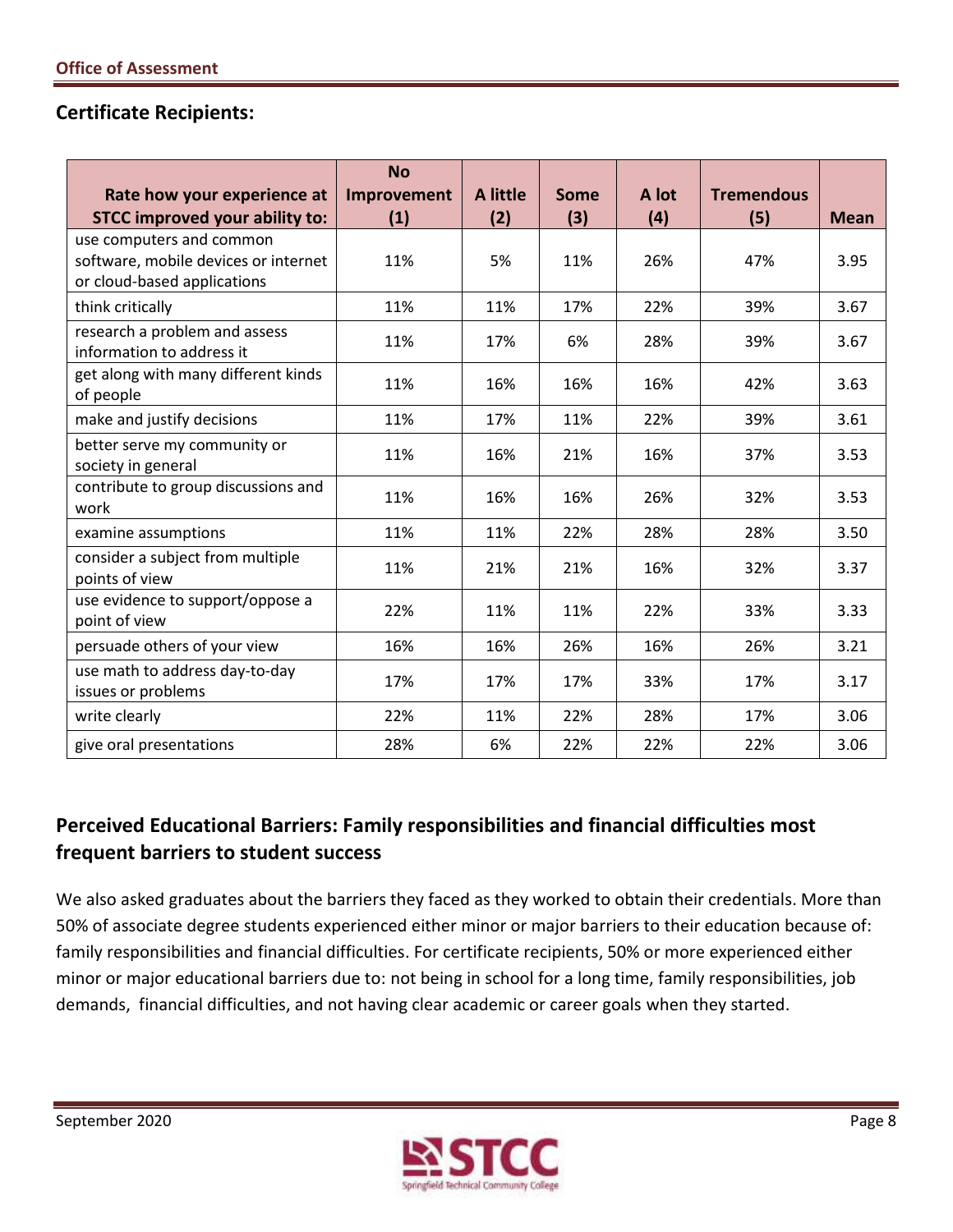## **Certificate Recipients:**

|                                                                                                 | <b>No</b>          |                        |             |              |                          |             |
|-------------------------------------------------------------------------------------------------|--------------------|------------------------|-------------|--------------|--------------------------|-------------|
| Rate how your experience at<br><b>STCC improved your ability to:</b>                            | Improvement<br>(1) | <b>A</b> little<br>(2) | Some<br>(3) | A lot<br>(4) | <b>Tremendous</b><br>(5) | <b>Mean</b> |
| use computers and common<br>software, mobile devices or internet<br>or cloud-based applications | 11%                | 5%                     | 11%         | 26%          | 47%                      | 3.95        |
| think critically                                                                                | 11%                | 11%                    | 17%         | 22%          | 39%                      | 3.67        |
| research a problem and assess<br>information to address it                                      | 11%                | 17%                    | 6%          | 28%          | 39%                      | 3.67        |
| get along with many different kinds<br>of people                                                | 11%                | 16%                    | 16%         | 16%          | 42%                      | 3.63        |
| make and justify decisions                                                                      | 11%                | 17%                    | 11%         | 22%          | 39%                      | 3.61        |
| better serve my community or<br>society in general                                              | 11%                | 16%                    | 21%         | 16%          | 37%                      | 3.53        |
| contribute to group discussions and<br>work                                                     | 11%                | 16%                    | 16%         | 26%          | 32%                      | 3.53        |
| examine assumptions                                                                             | 11%                | 11%                    | 22%         | 28%          | 28%                      | 3.50        |
| consider a subject from multiple<br>points of view                                              | 11%                | 21%                    | 21%         | 16%          | 32%                      | 3.37        |
| use evidence to support/oppose a<br>point of view                                               | 22%                | 11%                    | 11%         | 22%          | 33%                      | 3.33        |
| persuade others of your view                                                                    | 16%                | 16%                    | 26%         | 16%          | 26%                      | 3.21        |
| use math to address day-to-day<br>issues or problems                                            | 17%                | 17%                    | 17%         | 33%          | 17%                      | 3.17        |
| write clearly                                                                                   | 22%                | 11%                    | 22%         | 28%          | 17%                      | 3.06        |
| give oral presentations                                                                         | 28%                | 6%                     | 22%         | 22%          | 22%                      | 3.06        |

## **Perceived Educational Barriers: Family responsibilities and financial difficulties most frequent barriers to student success**

 We also asked graduates about the barriers they faced as they worked to obtain their credentials. More than 50% of associate degree students experienced either minor or major barriers to their education because of: minor or major educational barriers due to: not being in school for a long time, family responsibilities, job demands, financial difficulties, and not having clear academic or career goals when they started. family responsibilities and financial difficulties. For certificate recipients, 50% or more experienced either

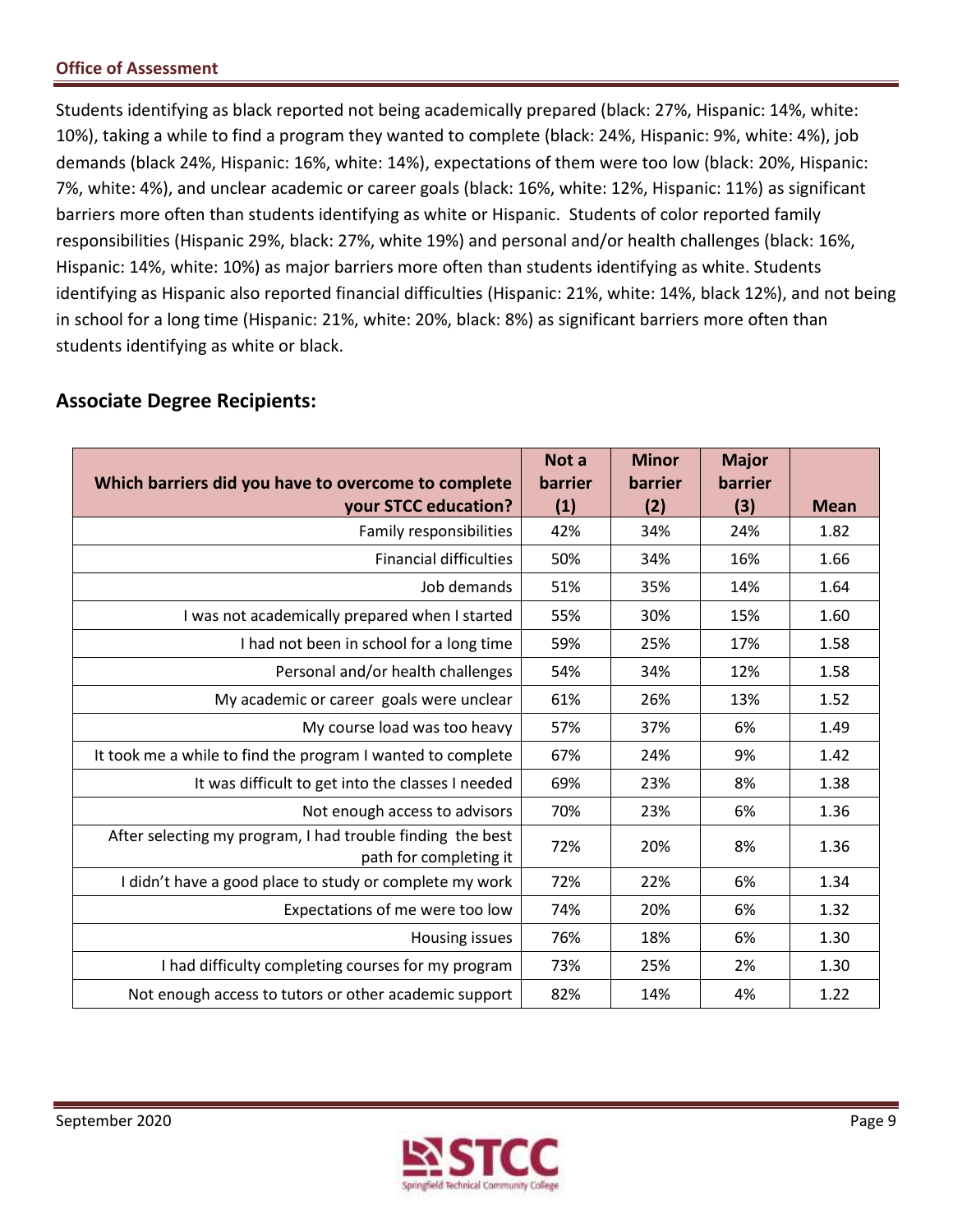Students identifying as black reported not being academically prepared (black: 27%, Hispanic: 14%, white: 10%), taking a while to find a program they wanted to complete (black: 24%, Hispanic: 9%, white: 4%), job demands (black 24%, Hispanic: 16%, white: 14%), expectations of them were too low (black: 20%, Hispanic: 7%, white: 4%), and unclear academic or career goals (black: 16%, white: 12%, Hispanic: 11%) as significant barriers more often than students identifying as white or Hispanic. Students of color reported family responsibilities (Hispanic 29%, black: 27%, white 19%) and personal and/or health challenges (black: 16%, Hispanic: 14%, white: 10%) as major barriers more often than students identifying as white. Students in school for a long time (Hispanic: 21%, white: 20%, black: 8%) as significant barriers more often than students identifying as white or black. identifying as Hispanic also reported financial difficulties (Hispanic: 21%, white: 14%, black 12%), and not being

| Not a<br><b>barrier</b> | <b>Minor</b><br><b>barrier</b> | <b>Major</b><br>barrier |             |
|-------------------------|--------------------------------|-------------------------|-------------|
| (1)                     | (2)                            | (3)                     | <b>Mean</b> |
| 42%                     | 34%                            | 24%                     | 1.82        |
| 50%                     | 34%                            | 16%                     | 1.66        |
| 51%                     | 35%                            | 14%                     | 1.64        |
| 55%                     | 30%                            | 15%                     | 1.60        |
| 59%                     | 25%                            | 17%                     | 1.58        |
| 54%                     | 34%                            | 12%                     | 1.58        |
| 61%                     | 26%                            | 13%                     | 1.52        |
| 57%                     | 37%                            | 6%                      | 1.49        |
| 67%                     | 24%                            | 9%                      | 1.42        |
| 69%                     | 23%                            | 8%                      | 1.38        |
| 70%                     | 23%                            | 6%                      | 1.36        |
| 72%                     | 20%                            | 8%                      | 1.36        |
| 72%                     | 22%                            | 6%                      | 1.34        |
| 74%                     | 20%                            | 6%                      | 1.32        |
| 76%                     | 18%                            | 6%                      | 1.30        |
| 73%                     | 25%                            | 2%                      | 1.30        |
| 82%                     | 14%                            | 4%                      | 1.22        |
|                         |                                |                         |             |

## **Associate Degree Recipients:**

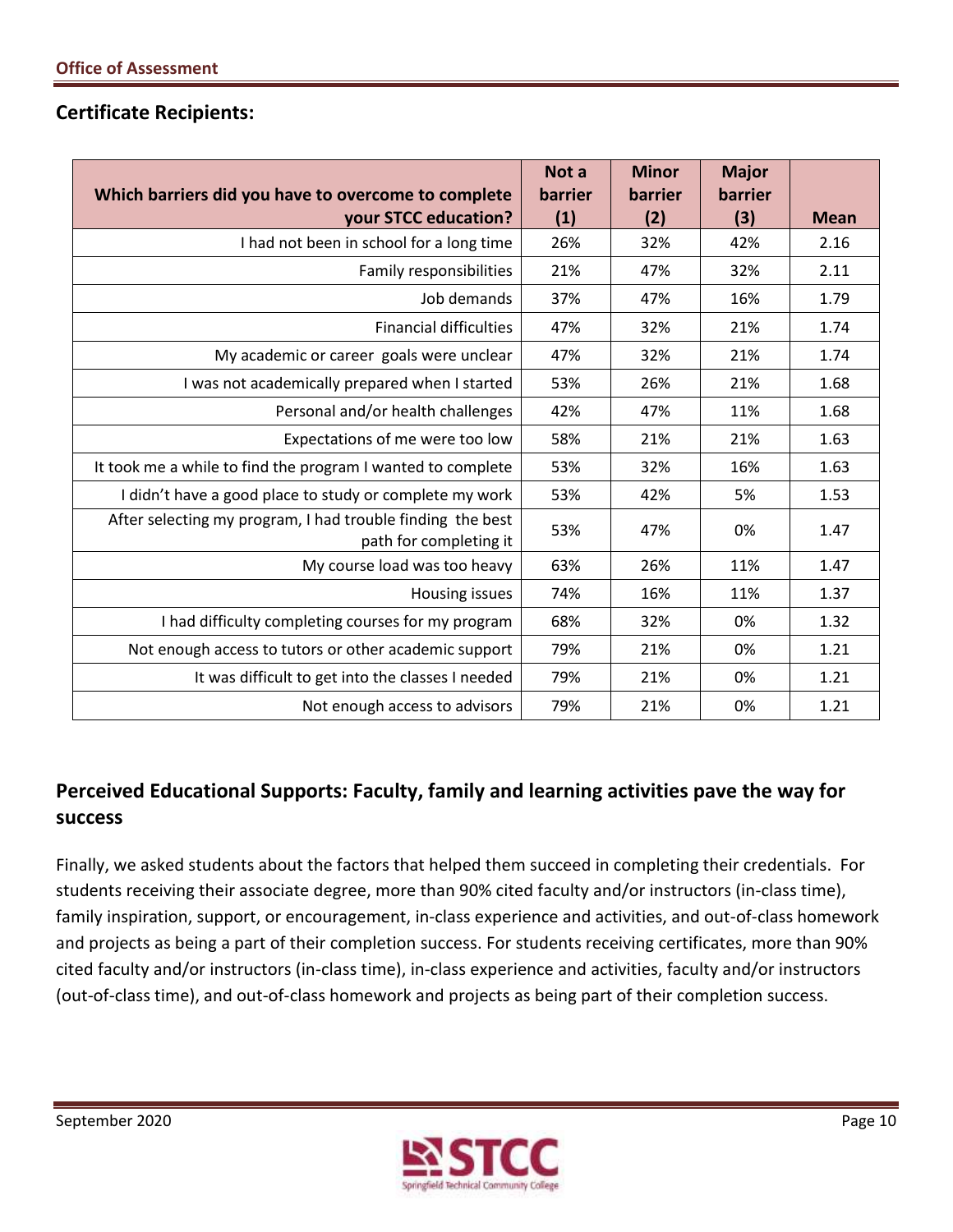## **Certificate Recipients:**

| Which barriers did you have to overcome to complete                                  | Not a<br>barrier | <b>Minor</b><br>barrier | <b>Major</b><br>barrier |             |
|--------------------------------------------------------------------------------------|------------------|-------------------------|-------------------------|-------------|
| your STCC education?                                                                 | (1)              | (2)                     | (3)                     | <b>Mean</b> |
| I had not been in school for a long time                                             | 26%              | 32%                     | 42%                     | 2.16        |
| Family responsibilities                                                              | 21%              | 47%                     | 32%                     | 2.11        |
| Job demands                                                                          | 37%              | 47%                     | 16%                     | 1.79        |
| <b>Financial difficulties</b>                                                        | 47%              | 32%                     | 21%                     | 1.74        |
| My academic or career goals were unclear                                             | 47%              | 32%                     | 21%                     | 1.74        |
| I was not academically prepared when I started                                       | 53%              | 26%                     | 21%                     | 1.68        |
| Personal and/or health challenges                                                    | 42%              | 47%                     | 11%                     | 1.68        |
| Expectations of me were too low                                                      | 58%              | 21%                     | 21%                     | 1.63        |
| It took me a while to find the program I wanted to complete                          | 53%              | 32%                     | 16%                     | 1.63        |
| I didn't have a good place to study or complete my work                              | 53%              | 42%                     | 5%                      | 1.53        |
| After selecting my program, I had trouble finding the best<br>path for completing it | 53%              | 47%                     | 0%                      | 1.47        |
| My course load was too heavy                                                         | 63%              | 26%                     | 11%                     | 1.47        |
| Housing issues                                                                       | 74%              | 16%                     | 11%                     | 1.37        |
| I had difficulty completing courses for my program                                   | 68%              | 32%                     | 0%                      | 1.32        |
| Not enough access to tutors or other academic support                                | 79%              | 21%                     | 0%                      | 1.21        |
| It was difficult to get into the classes I needed                                    | 79%              | 21%                     | 0%                      | 1.21        |
| Not enough access to advisors                                                        | 79%              | 21%                     | 0%                      | 1.21        |

## **Perceived Educational Supports: Faculty, family and learning activities pave the way for success**

 Finally, we asked students about the factors that helped them succeed in completing their credentials. For students receiving their associate degree, more than 90% cited faculty and/or instructors (in-class time), family inspiration, support, or encouragement, in-class experience and activities, and out-of-class homework and projects as being a part of their completion success. For students receiving certificates, more than 90% (out-of-class time), and out-of-class homework and projects as being part of their completion success. cited faculty and/or instructors (in-class time), in-class experience and activities, faculty and/or instructors

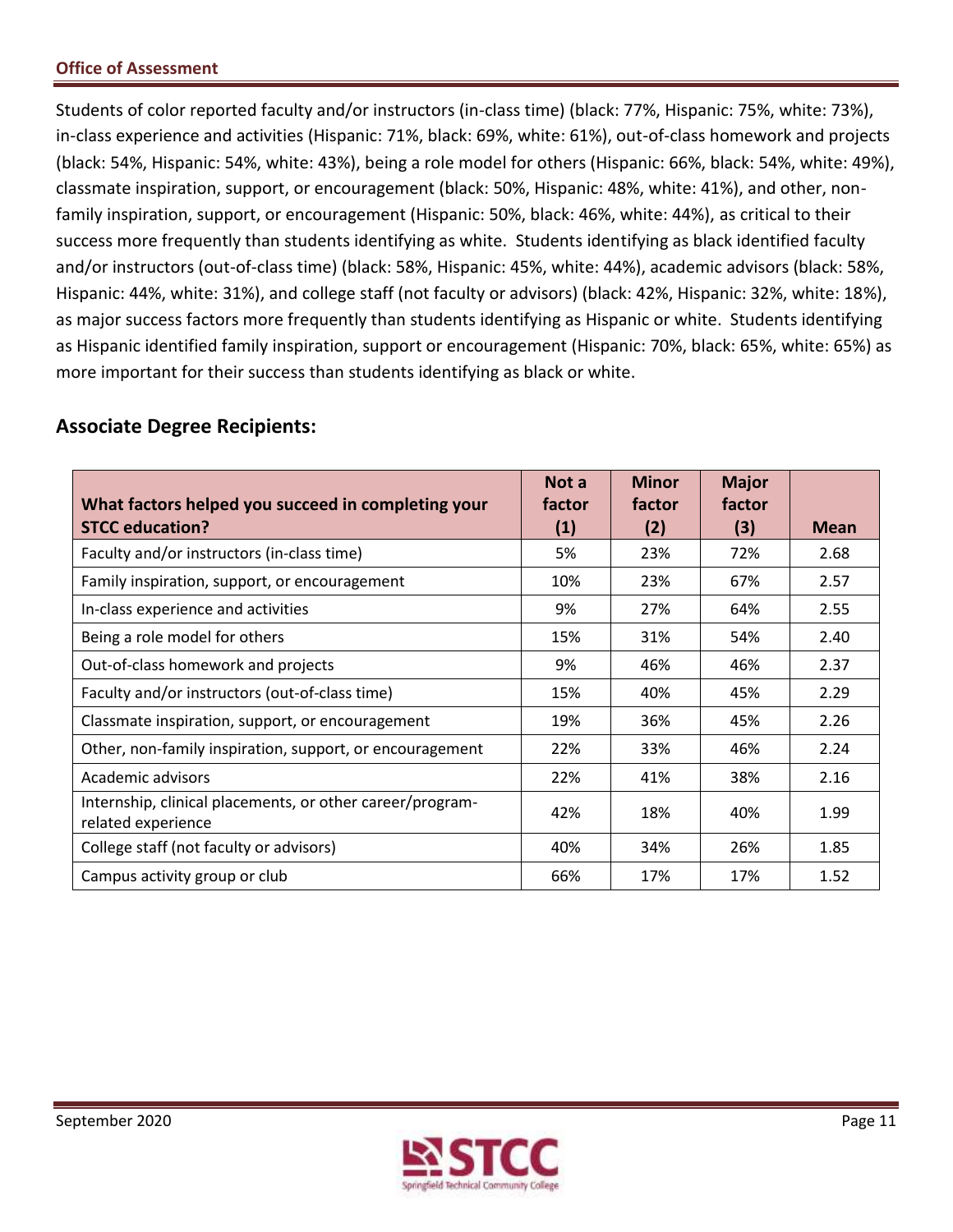Students of color reported faculty and/or instructors (in-class time) (black: 77%, Hispanic: 75%, white: 73%), in-class experience and activities (Hispanic: 71%, black: 69%, white: 61%), out-of-class homework and projects (black: 54%, Hispanic: 54%, white: 43%), being a role model for others (Hispanic: 66%, black: 54%, white: 49%), classmate inspiration, support, or encouragement (black: 50%, Hispanic: 48%, white: 41%), and other, non- family inspiration, support, or encouragement (Hispanic: 50%, black: 46%, white: 44%), as critical to their success more frequently than students identifying as white. Students identifying as black identified faculty and/or instructors (out-of-class time) (black: 58%, Hispanic: 45%, white: 44%), academic advisors (black: 58%, Hispanic: 44%, white: 31%), and college staff (not faculty or advisors) (black: 42%, Hispanic: 32%, white: 18%), as major success factors more frequently than students identifying as Hispanic or white. Students identifying as Hispanic identified family inspiration, support or encouragement (Hispanic: 70%, black: 65%, white: 65%) as more important for their success than students identifying as black or white.

## **Associate Degree Recipients:**

| What factors helped you succeed in completing your                              | Not a<br>factor | <b>Minor</b><br>factor | <b>Major</b><br>factor |             |
|---------------------------------------------------------------------------------|-----------------|------------------------|------------------------|-------------|
| <b>STCC education?</b>                                                          | (1)             | (2)                    | (3)                    | <b>Mean</b> |
| Faculty and/or instructors (in-class time)                                      | 5%              | 23%                    | 72%                    | 2.68        |
| Family inspiration, support, or encouragement                                   | 10%             | 23%                    | 67%                    | 2.57        |
| In-class experience and activities                                              | 9%              | 27%                    | 64%                    | 2.55        |
| Being a role model for others                                                   | 15%             | 31%                    | 54%                    | 2.40        |
| Out-of-class homework and projects                                              | 9%              | 46%                    | 46%                    | 2.37        |
| Faculty and/or instructors (out-of-class time)                                  | 15%             | 40%                    | 45%                    | 2.29        |
| Classmate inspiration, support, or encouragement                                | 19%             | 36%                    | 45%                    | 2.26        |
| Other, non-family inspiration, support, or encouragement                        | 22%             | 33%                    | 46%                    | 2.24        |
| Academic advisors                                                               | 22%             | 41%                    | 38%                    | 2.16        |
| Internship, clinical placements, or other career/program-<br>related experience | 42%             | 18%                    | 40%                    | 1.99        |
| College staff (not faculty or advisors)                                         | 40%             | 34%                    | 26%                    | 1.85        |
| Campus activity group or club                                                   | 66%             | 17%                    | 17%                    | 1.52        |

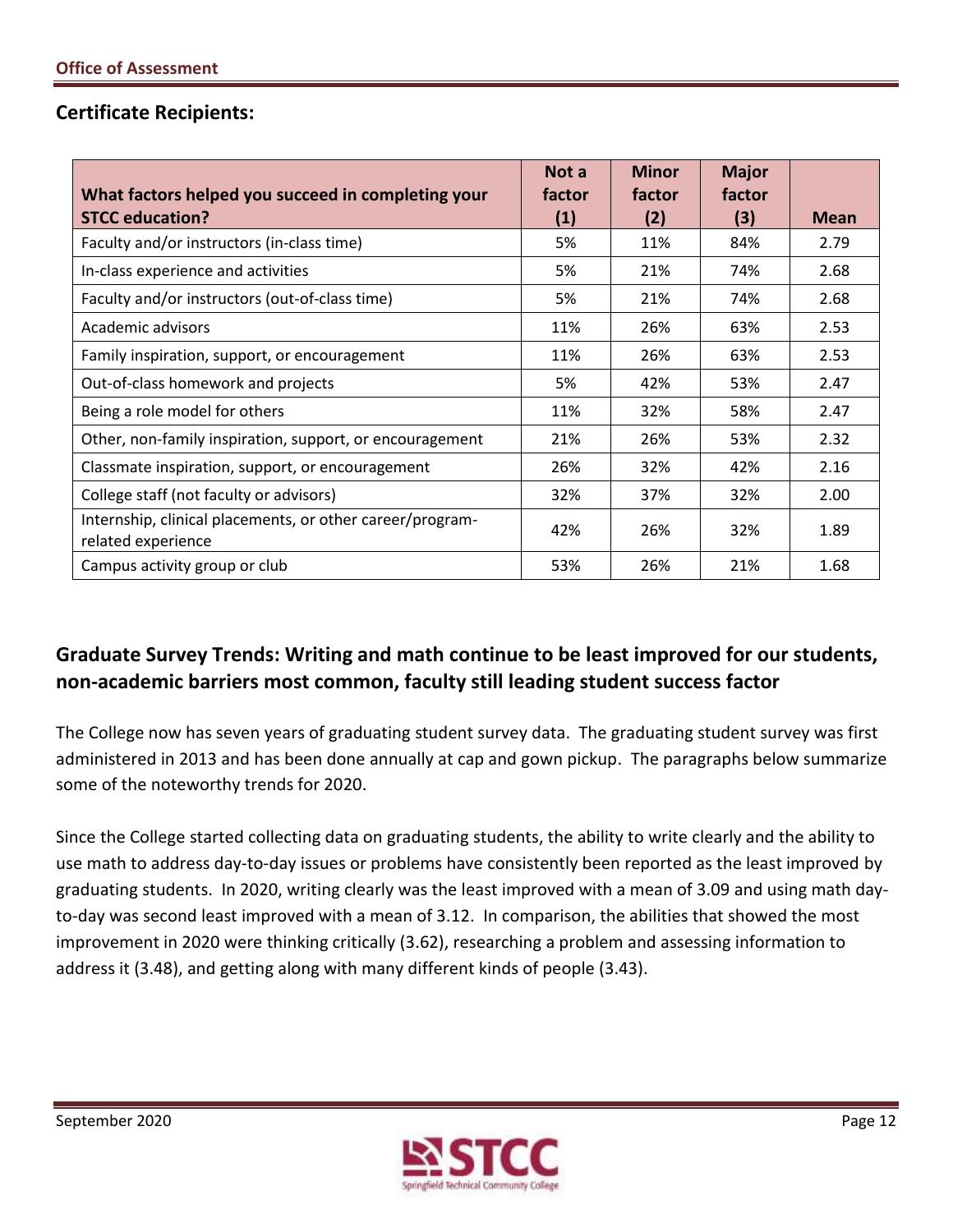## **Certificate Recipients:**

| What factors helped you succeed in completing your                              | Not a<br>factor | <b>Minor</b><br>factor | <b>Major</b><br>factor |             |
|---------------------------------------------------------------------------------|-----------------|------------------------|------------------------|-------------|
| <b>STCC education?</b>                                                          | (1)             | (2)                    | (3)                    | <b>Mean</b> |
| Faculty and/or instructors (in-class time)                                      | 5%              | 11%                    | 84%                    | 2.79        |
| In-class experience and activities                                              | 5%              | 21%                    | 74%                    | 2.68        |
| Faculty and/or instructors (out-of-class time)                                  | 5%              | 21%                    | 74%                    | 2.68        |
| Academic advisors                                                               | 11%             | 26%                    | 63%                    | 2.53        |
| Family inspiration, support, or encouragement                                   | 11%             | 26%                    | 63%                    | 2.53        |
| Out-of-class homework and projects                                              | 5%              | 42%                    | 53%                    | 2.47        |
| Being a role model for others                                                   | 11%             | 32%                    | 58%                    | 2.47        |
| Other, non-family inspiration, support, or encouragement                        | 21%             | 26%                    | 53%                    | 2.32        |
| Classmate inspiration, support, or encouragement                                | 26%             | 32%                    | 42%                    | 2.16        |
| College staff (not faculty or advisors)                                         | 32%             | 37%                    | 32%                    | 2.00        |
| Internship, clinical placements, or other career/program-<br>related experience | 42%             | 26%                    | 32%                    | 1.89        |
| Campus activity group or club                                                   | 53%             | 26%                    | 21%                    | 1.68        |

## **Graduate Survey Trends: Writing and math continue to be least improved for our students, non-academic barriers most common, faculty still leading student success factor**

 administered in 2013 and has been done annually at cap and gown pickup. The paragraphs below summarize some of the noteworthy trends for 2020. The College now has seven years of graduating student survey data. The graduating student survey was first

 Since the College started collecting data on graduating students, the ability to write clearly and the ability to use math to address day-to-day issues or problems have consistently been reported as the least improved by graduating students. In 2020, writing clearly was the least improved with a mean of 3.09 and using math day- to-day was second least improved with a mean of 3.12. In comparison, the abilities that showed the most improvement in 2020 were thinking critically (3.62), researching a problem and assessing information to address it (3.48), and getting along with many different kinds of people (3.43).

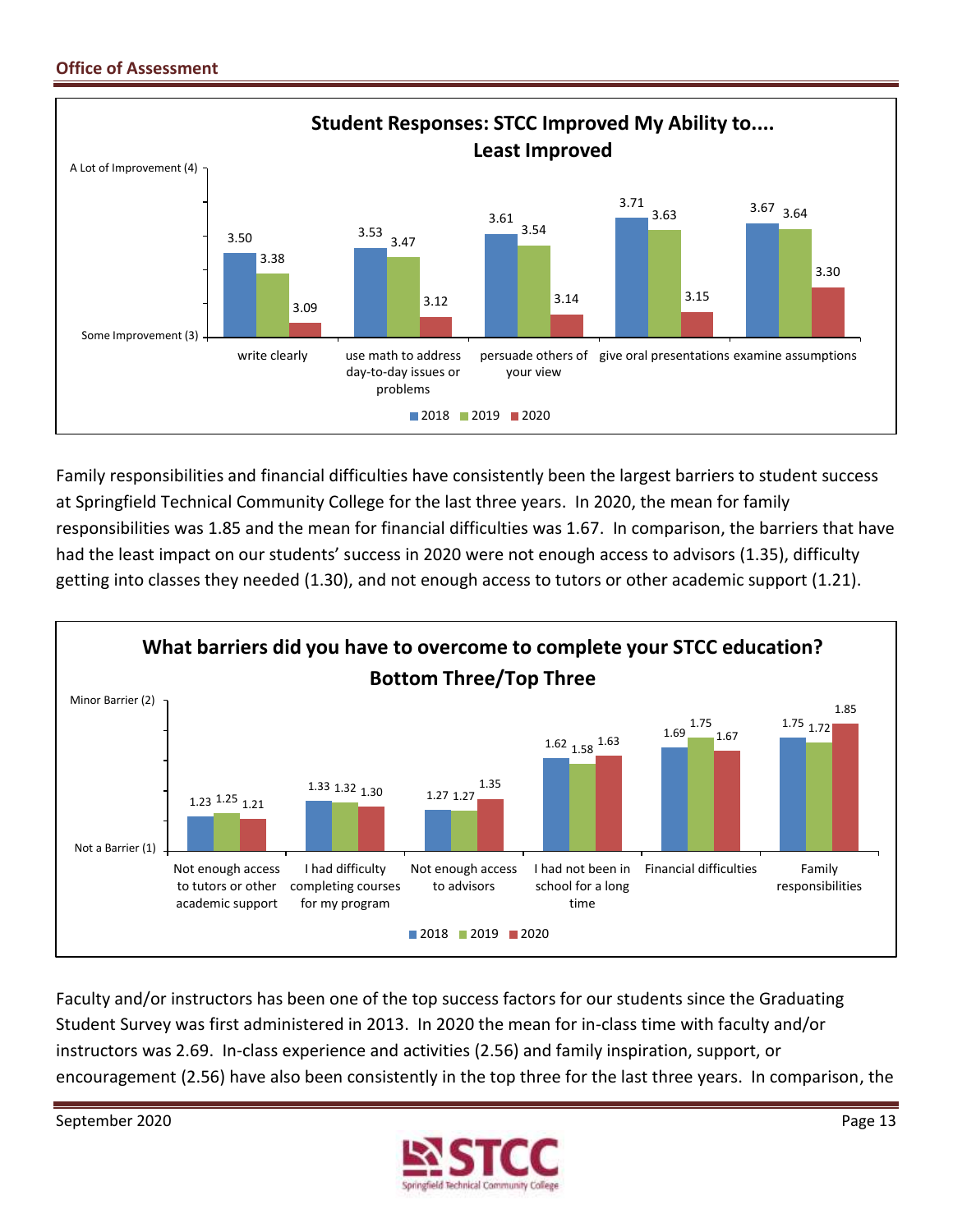

 Family responsibilities and financial difficulties have consistently been the largest barriers to student success at Springfield Technical Community College for the last three years. In 2020, the mean for family responsibilities was 1.85 and the mean for financial difficulties was 1.67. In comparison, the barriers that have had the least impact on our students' success in 2020 were not enough access to advisors (1.35), difficulty getting into classes they needed (1.30), and not enough access to tutors or other academic support (1.21).



 Faculty and/or instructors has been one of the top success factors for our students since the Graduating Student Survey was first administered in 2013. In 2020 the mean for in-class time with faculty and/or encouragement (2.56) have also been consistently in the top three for the last three years. In comparison, the instructors was 2.69. In-class experience and activities (2.56) and family inspiration, support, or

September 2020 Page 13

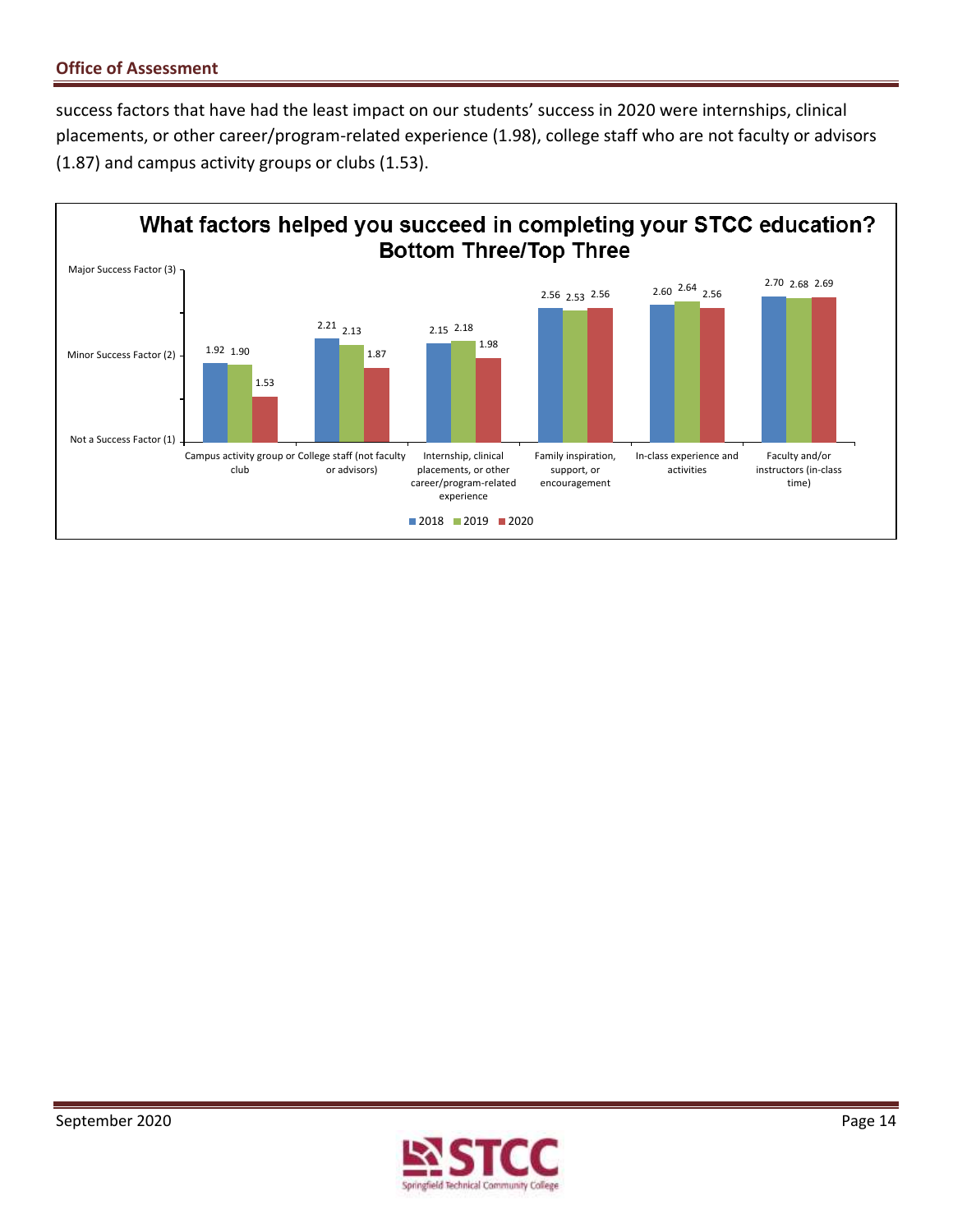success factors that have had the least impact on our students' success in 2020 were internships, clinical placements, or other career/program-related experience (1.98), college staff who are not faculty or advisors (1.87) and campus activity groups or clubs (1.53).



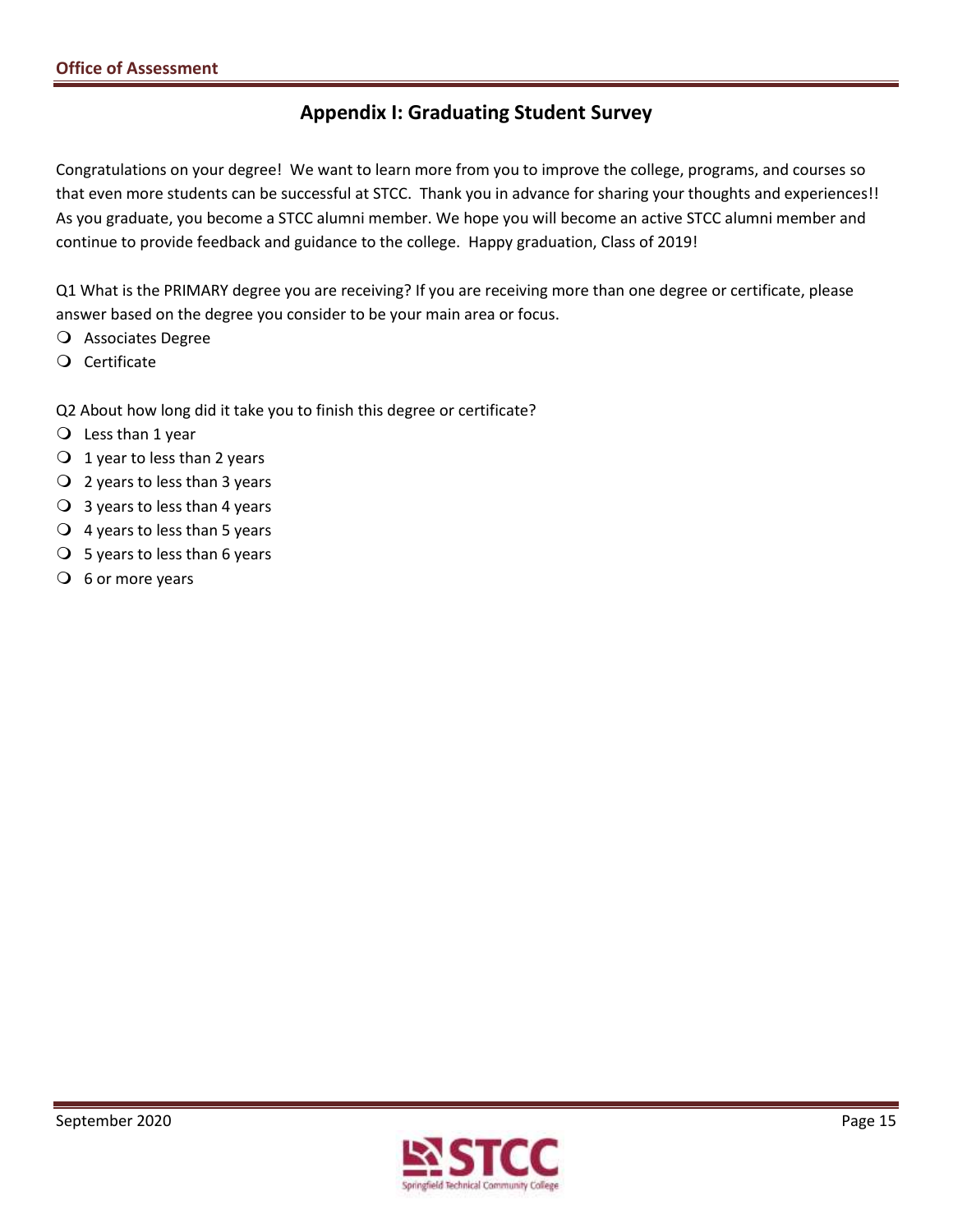## **Appendix I: Graduating Student Survey**

 Congratulations on your degree! We want to learn more from you to improve the college, programs, and courses so that even more students can be successful at STCC. Thank you in advance for sharing your thoughts and experiences!! As you graduate, you become a STCC alumni member. We hope you will become an active STCC alumni member and continue to provide feedback and guidance to the college. Happy graduation, Class of 2019!

Q1 What is the PRIMARY degree you are receiving? If you are receiving more than one degree or certificate, please answer based on the degree you consider to be your main area or focus.

- Associates Degree
- Certificate
- Q2 About how long did it take you to finish this degree or certificate?
- $\bigcirc$  Less than 1 year
- $\bigcirc$  1 year to less than 2 years
- 2 years to less than 3 years
- $\bigcirc$  3 years to less than 4 years
- $\bigcirc$  4 years to less than 5 years
- $\bigcirc$  5 years to less than 6 years
- $\overline{O}$  6 or more years

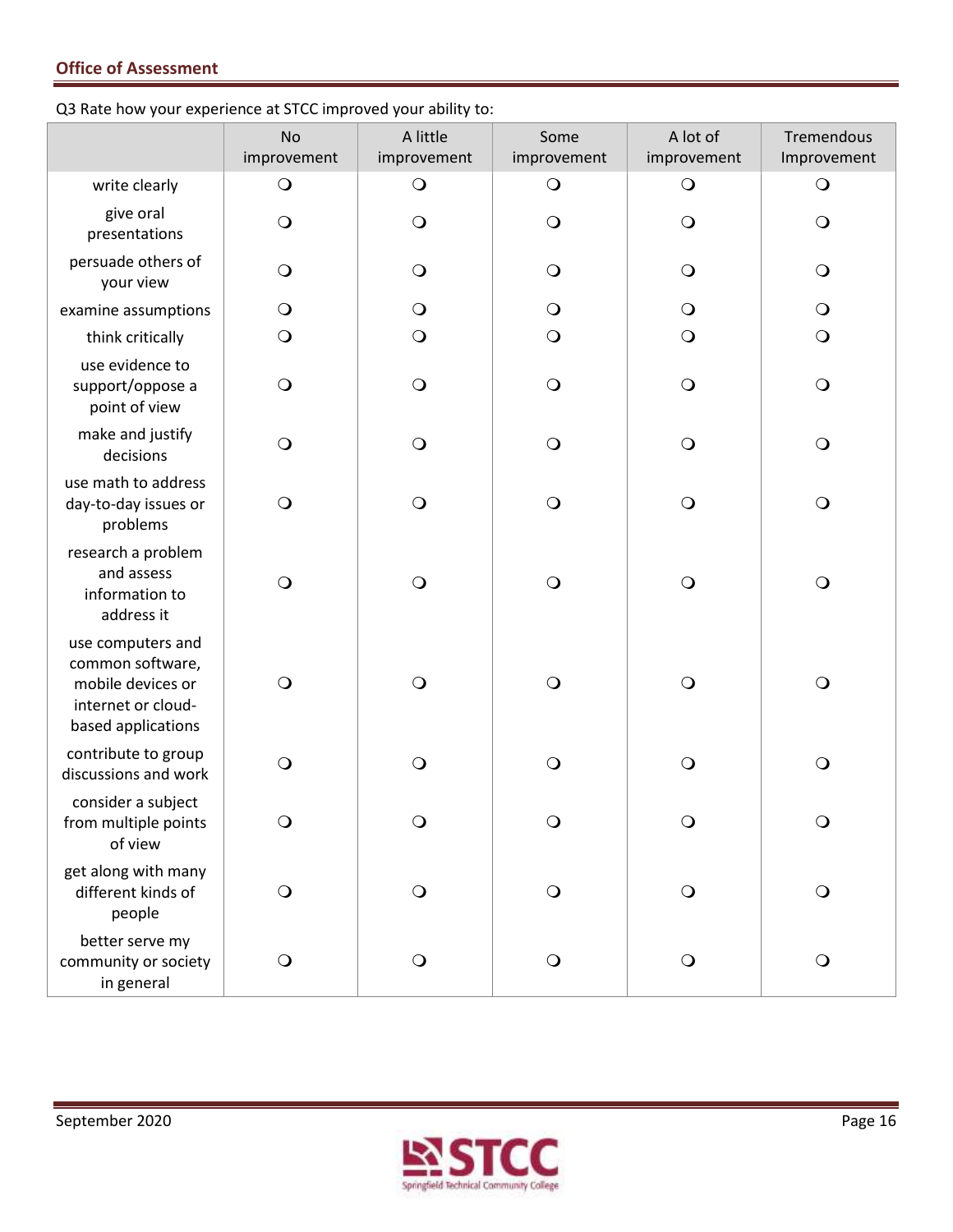Q3 Rate how your experience at STCC improved your ability to:

|                                                                                                        | <b>No</b><br>improvement | A little<br>improvement | Some<br>improvement | A lot of<br>improvement | Tremendous<br>Improvement |
|--------------------------------------------------------------------------------------------------------|--------------------------|-------------------------|---------------------|-------------------------|---------------------------|
| write clearly                                                                                          | $\bigcirc$               | $\bigcirc$              | $\bigcirc$          | $\bigcirc$              | $\bigcirc$                |
| give oral<br>presentations                                                                             | $\bigcirc$               | $\bigcirc$              | $\bigcirc$          | $\bigcirc$              | $\bigcirc$                |
| persuade others of<br>your view                                                                        | O                        | $\bigcirc$              | $\bigcirc$          | $\bigcirc$              | $\Omega$                  |
| examine assumptions                                                                                    | $\bigcirc$               | $\bigcirc$              | $\bigcirc$          | $\mathbf{O}$            | $\bigcirc$                |
| think critically                                                                                       | $\bigcirc$               | $\bigcirc$              | $\bigcirc$          | $\bigcirc$              | $\bigcirc$                |
| use evidence to<br>support/oppose a<br>point of view                                                   | $\bigcirc$               | $\bigcirc$              | $\bigcirc$          | $\bigcirc$              | $\bigcirc$                |
| make and justify<br>decisions                                                                          | $\bigcirc$               | $\bigcirc$              | $\bigcirc$          | $\bigcirc$              | $\bigcirc$                |
| use math to address<br>day-to-day issues or<br>problems                                                | $\Omega$                 | $\bigcirc$              | $\bigcirc$          | $\bigcirc$              | $\bigcirc$                |
| research a problem<br>and assess<br>information to<br>address it                                       | $\bigcirc$               | $\bigcirc$              | $\bigcirc$          | $\bigcirc$              | $\bigcirc$                |
| use computers and<br>common software,<br>mobile devices or<br>internet or cloud-<br>based applications | $\bigcirc$               | $\bigcirc$              | $\bigcirc$          | $\bigcirc$              | $\bigcirc$                |
| contribute to group<br>discussions and work                                                            | ∩                        | $\circ$                 | $\bigcirc$          | $\bigcirc$              | $\bigcirc$                |
| consider a subject<br>from multiple points<br>of view                                                  | $\circ$                  | $\circ$                 | $\circ$             | $\circ$                 | $\circ$                   |
| get along with many<br>different kinds of<br>people                                                    | $\bigcirc$               | $\bigcirc$              | $\bigcirc$          | $\bigcirc$              | $\bigcirc$                |
| better serve my<br>community or society<br>in general                                                  | $\bigcirc$               | $\bigcirc$              | $\bigcirc$          | $\bigcirc$              | $\bigcirc$                |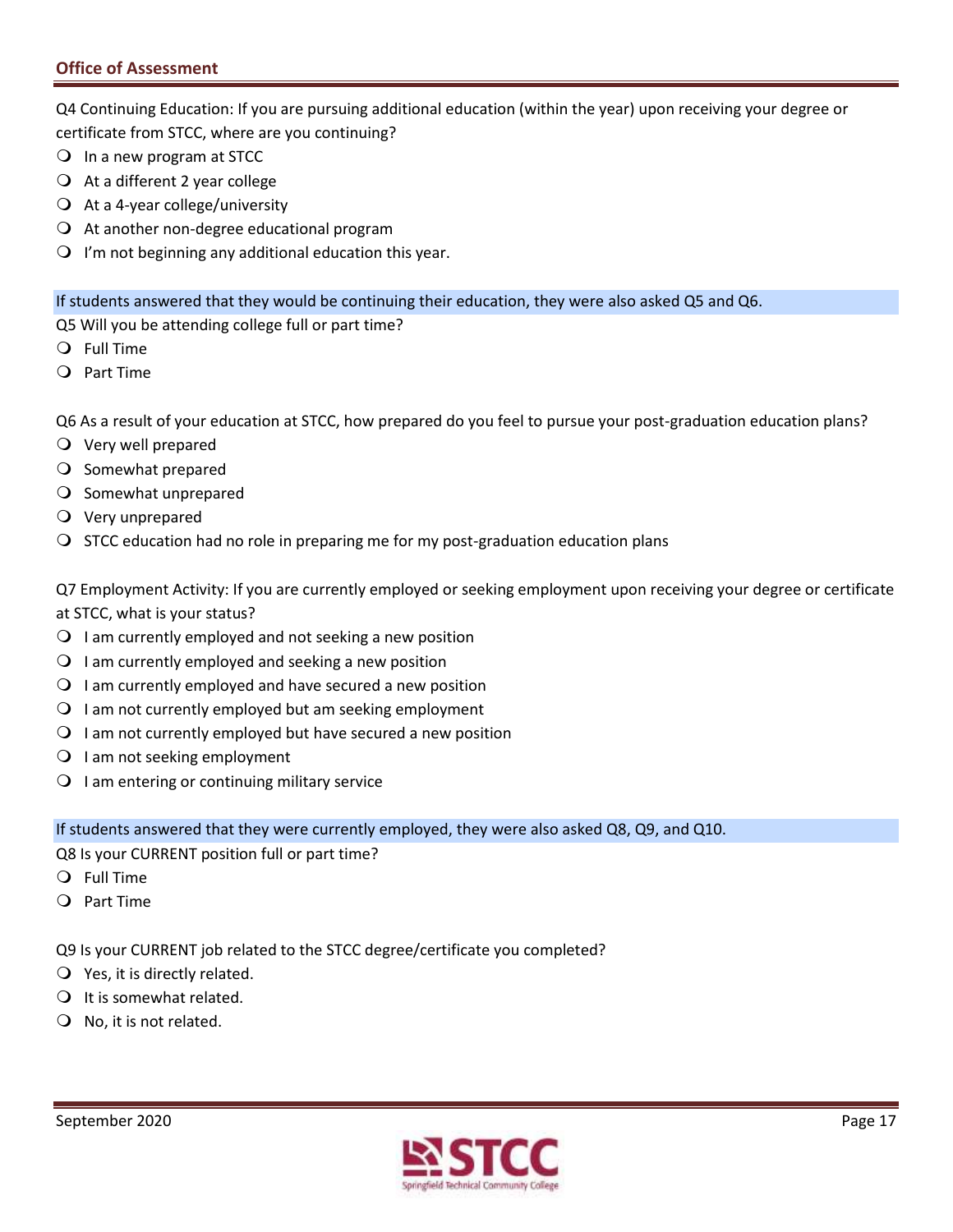Q4 Continuing Education: If you are pursuing additional education (within the year) upon receiving your degree or certificate from STCC, where are you continuing?

- $\bigcirc$  In a new program at STCC
- $\overline{Q}$  At a different 2 year college
- $\bigcirc$  At a 4-year college/university
- $\Omega$  At another non-degree educational program
- $\Omega$  I'm not beginning any additional education this year.

If students answered that they would be continuing their education, they were also asked Q5 and Q6.

Q5 Will you be attending college full or part time?

- Full Time
- Part Time

Q6 As a result of your education at STCC, how prepared do you feel to pursue your post-graduation education plans?

- Very well prepared
- O Somewhat prepared
- $\bigcirc$  Somewhat unprepared
- Very unprepared
- $\bigcirc$  STCC education had no role in preparing me for my post-graduation education plans

 Q7 Employment Activity: If you are currently employed or seeking employment upon receiving your degree or certificate at STCC, what is your status?

- $\Omega$  I am currently employed and not seeking a new position
- $\Omega$  I am currently employed and seeking a new position
- $\Omega$  I am currently employed and have secured a new position
- $\Omega$  I am not currently employed but am seeking employment
- $\Omega$  I am not currently employed but have secured a new position
- O I am not seeking employment
- $\bigcirc$  I am entering or continuing military service

If students answered that they were currently employed, they were also asked Q8, Q9, and Q10.

Q8 Is your CURRENT position full or part time?

- Full Time
- Part Time

Q9 Is your CURRENT job related to the STCC degree/certificate you completed?

- $Q$  Yes, it is directly related.
- $\bigcirc$  It is somewhat related.
- $\bigcirc$  No, it is not related.

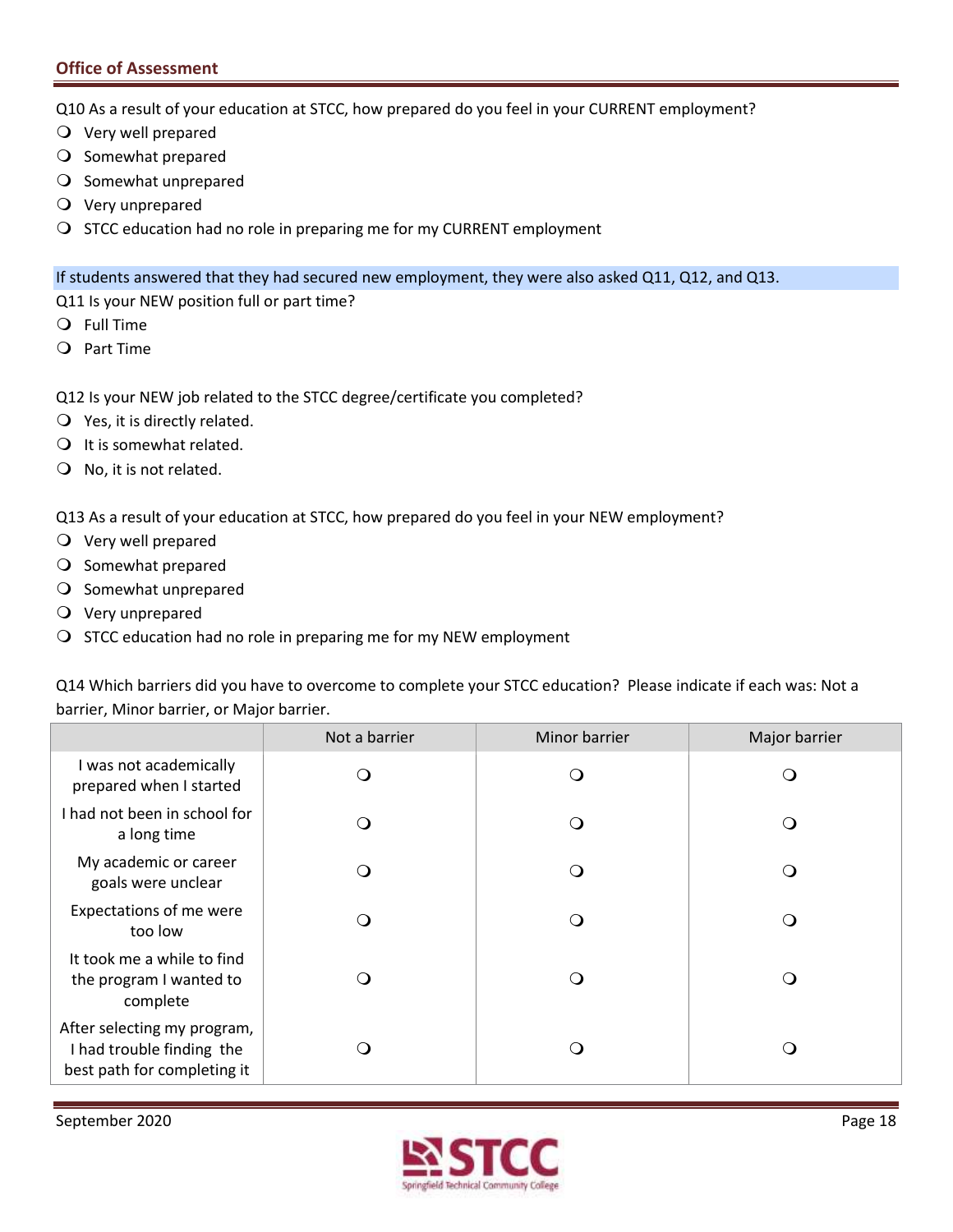Q10 As a result of your education at STCC, how prepared do you feel in your CURRENT employment?

- Very well prepared
- O Somewhat prepared
- O Somewhat unprepared
- Very unprepared
- O STCC education had no role in preparing me for my CURRENT employment

If students answered that they had secured new employment, they were also asked Q11, Q12, and Q13.

- Q11 Is your NEW position full or part time?
- Full Time
- Part Time
- Q12 Is your NEW job related to the STCC degree/certificate you completed?
- $Q$  Yes, it is directly related.
- $\bigcirc$  It is somewhat related.
- $\bigcirc$  No, it is not related.

Q13 As a result of your education at STCC, how prepared do you feel in your NEW employment?

- Very well prepared
- O Somewhat prepared
- O Somewhat unprepared
- Very unprepared
- $\bigcirc$  STCC education had no role in preparing me for my NEW employment

Q14 Which barriers did you have to overcome to complete your STCC education? Please indicate if each was: Not a barrier, Minor barrier, or Major barrier.

|                                                                                         | Not a barrier | Minor barrier | Major barrier |
|-----------------------------------------------------------------------------------------|---------------|---------------|---------------|
| I was not academically<br>prepared when I started                                       |               | 0             |               |
| I had not been in school for<br>a long time                                             |               | . .           | ∩             |
| My academic or career<br>goals were unclear                                             | 0             | 0             | ∩             |
| Expectations of me were<br>too low                                                      |               | . .           |               |
| It took me a while to find<br>the program I wanted to<br>complete                       |               | . .           | ∩             |
| After selecting my program,<br>I had trouble finding the<br>best path for completing it |               | . .           | ∩             |

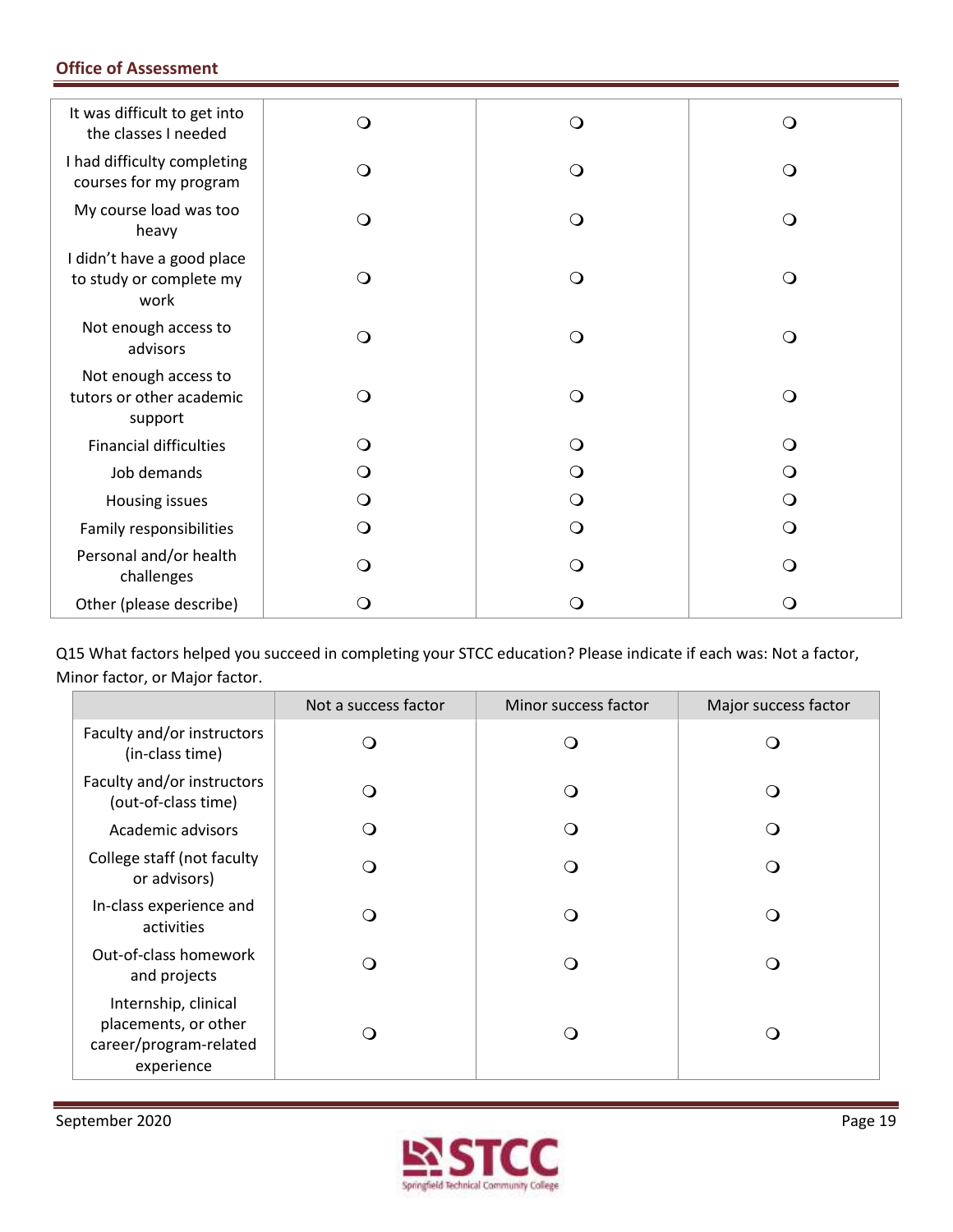| It was difficult to get into<br>the classes I needed          | $\Omega$   | $\Omega$ | ∩        |
|---------------------------------------------------------------|------------|----------|----------|
| I had difficulty completing<br>courses for my program         | $\bigcirc$ | Q        | ∩        |
| My course load was too<br>heavy                               | $\circ$    | O        | O        |
| I didn't have a good place<br>to study or complete my<br>work | $\Omega$   | Q        | ∩        |
| Not enough access to<br>advisors                              | $\bigcirc$ | $\Omega$ | $\Omega$ |
| Not enough access to<br>tutors or other academic<br>support   | $\circ$    | Q        | ∩        |
| <b>Financial difficulties</b>                                 | O          | $\Omega$ |          |
| Job demands                                                   | Ő          |          |          |
| Housing issues                                                | $\circ$    |          |          |
| Family responsibilities                                       | $\circ$    | Q        |          |
| Personal and/or health<br>challenges                          | O          | ( )      |          |
| Other (please describe)                                       | Ő          | 0        |          |

 Q15 What factors helped you succeed in completing your STCC education? Please indicate if each was: Not a factor, Minor factor, or Major factor.

|                                                                                      | Not a success factor     | Minor success factor | Major success factor |
|--------------------------------------------------------------------------------------|--------------------------|----------------------|----------------------|
| Faculty and/or instructors<br>(in-class time)                                        | ി                        | ∩                    |                      |
| Faculty and/or instructors<br>(out-of-class time)                                    | ∩                        | ∩                    |                      |
| Academic advisors                                                                    | э.                       | ∩                    |                      |
| College staff (not faculty<br>or advisors)                                           | ∩                        | ∩                    |                      |
| In-class experience and<br>activities                                                | $\overline{\phantom{a}}$ | ∩                    |                      |
| Out-of-class homework<br>and projects                                                | ∩                        | ∩                    |                      |
| Internship, clinical<br>placements, or other<br>career/program-related<br>experience | $\overline{\phantom{a}}$ | (1                   |                      |

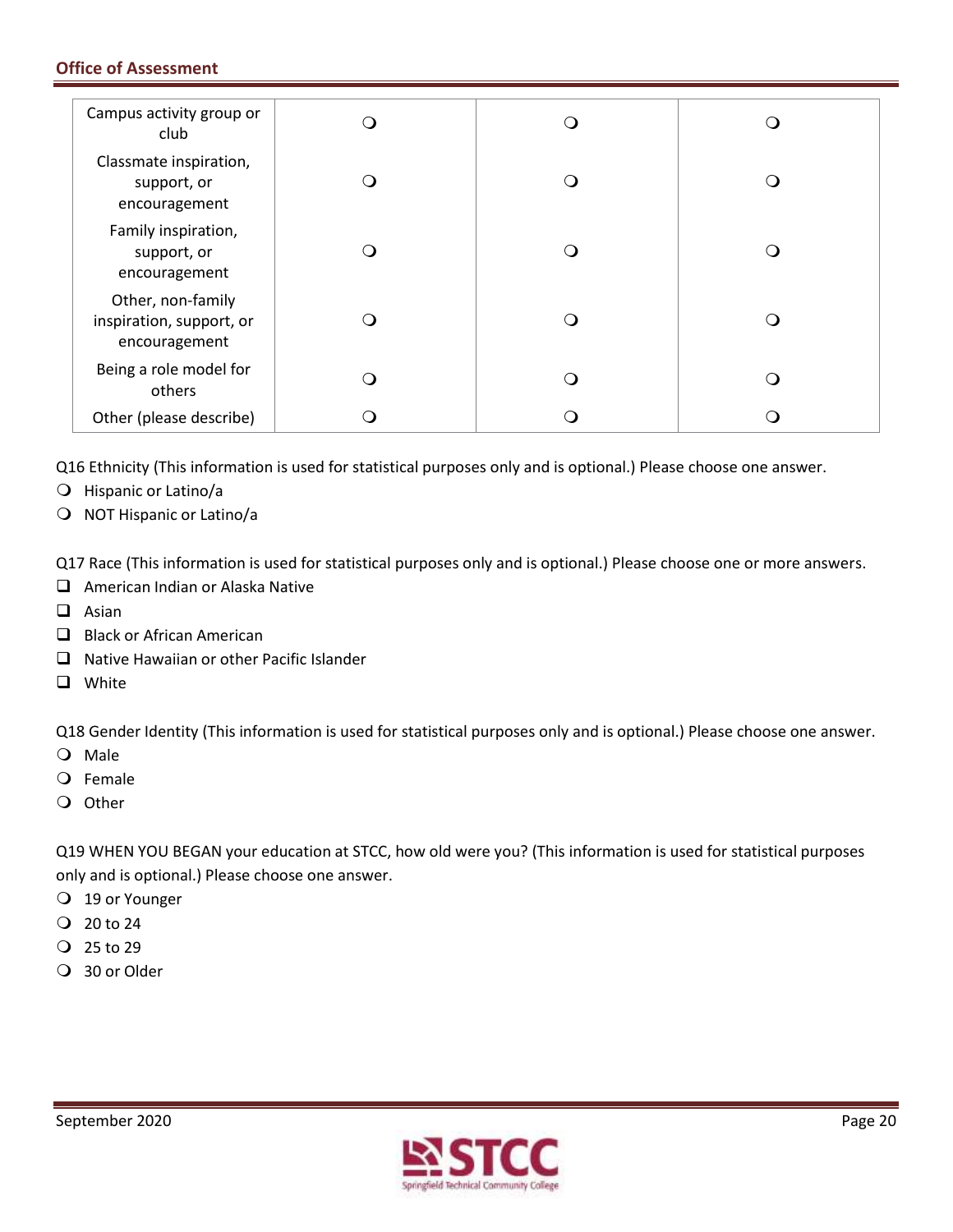| Campus activity group or<br>club                               |  |     |
|----------------------------------------------------------------|--|-----|
| Classmate inspiration,<br>support, or<br>encouragement         |  | . . |
| Family inspiration,<br>support, or<br>encouragement            |  |     |
| Other, non-family<br>inspiration, support, or<br>encouragement |  | . . |
| Being a role model for<br>others                               |  | . . |
| Other (please describe)                                        |  | . 1 |

Q16 Ethnicity (This information is used for statistical purposes only and is optional.) Please choose one answer.

- Hispanic or Latino/a
- O NOT Hispanic or Latino/a

Q17 Race (This information is used for statistical purposes only and is optional.) Please choose one or more answers.

- $\Box$  American Indian or Alaska Native
- $\Box$  Asian
- $\Box$  Black or African American
- $\Box$  Native Hawaiian or other Pacific Islander
- **Q** White

Q18 Gender Identity (This information is used for statistical purposes only and is optional.) Please choose one answer.

- O Male
- Female
- O Other

Q19 WHEN YOU BEGAN your education at STCC, how old were you? (This information is used for statistical purposes only and is optional.) Please choose one answer.

- 19 or Younger
- $Q$  20 to 24
- 25 to 29
- 30 or Older

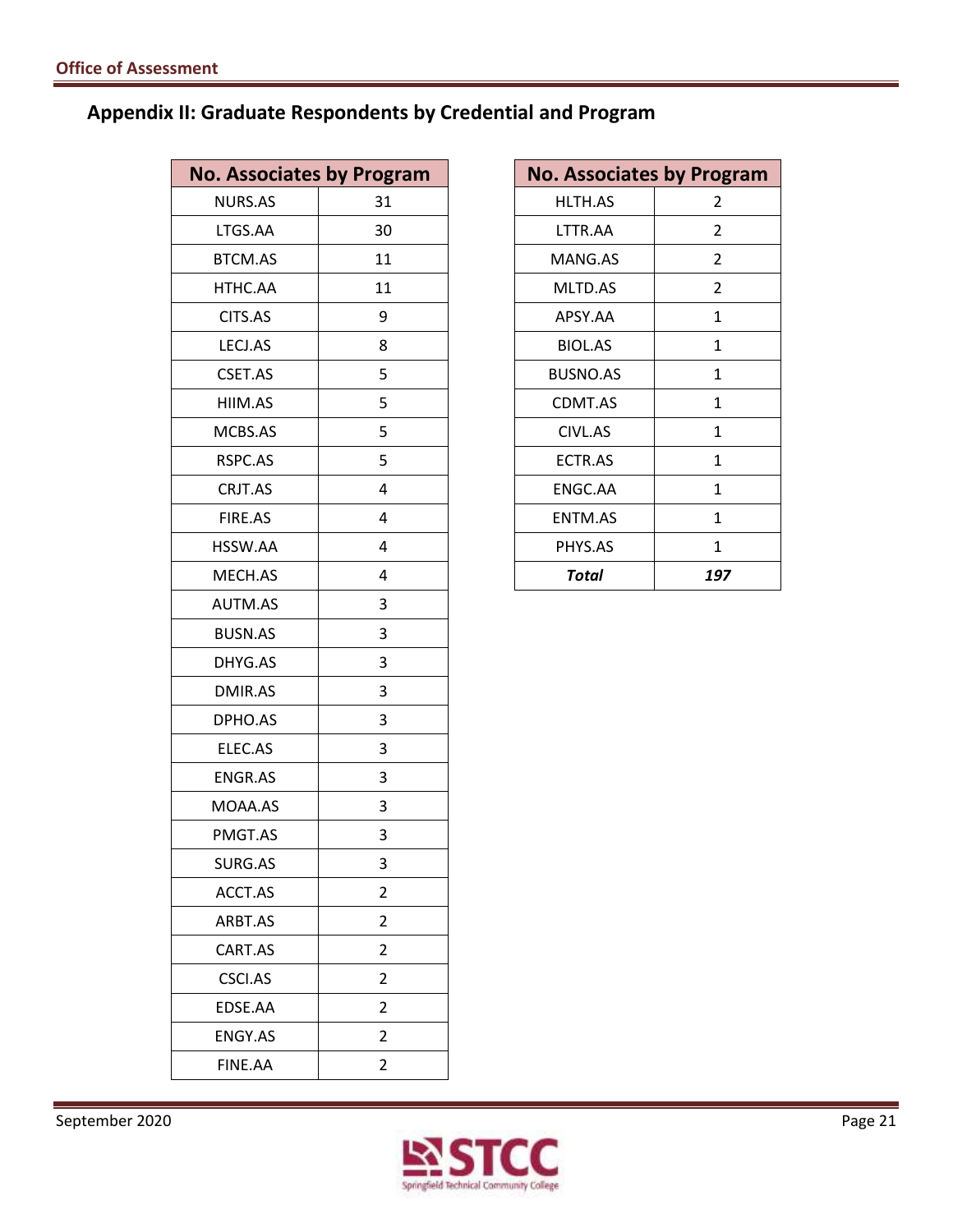## **Appendix II: Graduate Respondents by Credential and Program**

| <b>No. Associates by Program</b> |                         |
|----------------------------------|-------------------------|
| <b>NURS.AS</b>                   | 31                      |
| LTGS.AA                          | 30                      |
| <b>BTCM.AS</b>                   | 11                      |
| HTHC.AA                          | 11                      |
| CITS.AS                          | 9                       |
| LECJ.AS                          | 8                       |
| CSET.AS                          | 5                       |
| HIIM.AS                          | 5                       |
| MCBS.AS                          | 5                       |
| RSPC.AS                          | 5                       |
| CRJT.AS                          | 4                       |
| FIRE.AS                          | 4                       |
| HSSW.AA                          | 4                       |
| MECH.AS                          | 4                       |
| <b>AUTM.AS</b>                   | 3                       |
| <b>BUSN.AS</b>                   | 3                       |
| DHYG.AS                          | 3                       |
| DMIR.AS                          | 3                       |
| DPHO.AS                          | 3                       |
| ELEC.AS                          | 3                       |
| <b>ENGR.AS</b>                   | 3                       |
| MOAA.AS                          | 3                       |
| PMGT.AS                          | 3                       |
| SURG.AS                          | 3                       |
| ACCT.AS                          | $\overline{\mathbf{c}}$ |
| ARBT.AS                          | $\overline{2}$          |
| CART.AS                          | $\overline{2}$          |
| CSCI.AS                          | $\overline{2}$          |
| EDSE.AA                          | $\overline{2}$          |
| <b>ENGY.AS</b>                   | $\overline{2}$          |
| FINE.AA                          | $\overline{2}$          |
|                                  |                         |

| <b>No. Associates by Program</b> |              |
|----------------------------------|--------------|
| HLTH.AS                          | 2            |
| LTTR.AA                          | 2            |
| MANG.AS                          | 2            |
| <b>MLTD.AS</b>                   | 2            |
| APSY.AA                          | 1            |
| <b>BIOL.AS</b>                   | 1            |
| <b>BUSNO.AS</b>                  | 1            |
| CDMT.AS                          | 1            |
| CIVL.AS                          | 1            |
| ECTR.AS                          | 1            |
| ENGC.AA                          | $\mathbf{1}$ |
| <b>ENTM.AS</b>                   | 1            |
| PHYS.AS                          | 1            |
| Total                            | 197          |

September 2020 Page 21